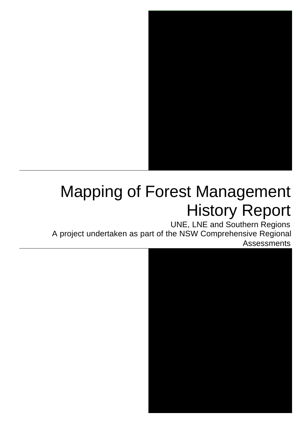

# Mapping of Forest Management History Report

UNE, LNE and Southern Regions A project undertaken as part of the NSW Comprehensive Regional Assessments

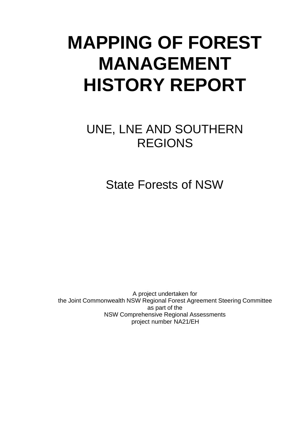# **MAPPING OF FOREST MANAGEMENT HISTORY REPORT**

# UNE, LNE AND SOUTHERN REGIONS

State Forests of NSW

A project undertaken for the Joint Commonwealth NSW Regional Forest Agreement Steering Committee as part of the NSW Comprehensive Regional Assessments project number NA21/EH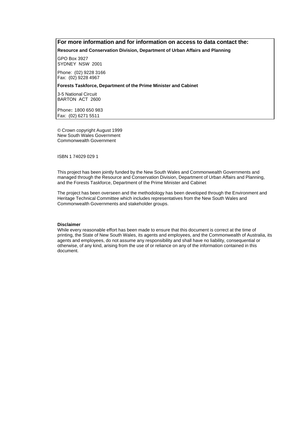### **For more information and for information on access to data contact the:**

**Resource and Conservation Division, Department of Urban Affairs and Planning**

GPO Box 3927 SYDNEY NSW 2001

Phone: (02) 9228 3166 Fax: (02) 9228 4967

#### **Forests Taskforce, Department of the Prime Minister and Cabinet**

3-5 National Circuit BARTON ACT 2600

Phone**:** 1800 650 983 Fax: (02) 6271 5511

© Crown copyright August 1999 New South Wales Government Commonwealth Government

ISBN 1 74029 029 1

This project has been jointly funded by the New South Wales and Commonwealth Governments and managed through the Resource and Conservation Division, Department of Urban Affairs and Planning, and the Forests Taskforce, Department of the Prime Minister and Cabinet

The project has been overseen and the methodology has been developed through the Environment and Heritage Technical Committee which includes representatives from the New South Wales and Commonwealth Governments and stakeholder groups.

#### **Disclaimer**

While every reasonable effort has been made to ensure that this document is correct at the time of printing, the State of New South Wales, its agents and employees, and the Commonwealth of Australia, its agents and employees, do not assume any responsibility and shall have no liability, consequential or otherwise, of any kind, arising from the use of or reliance on any of the information contained in this document.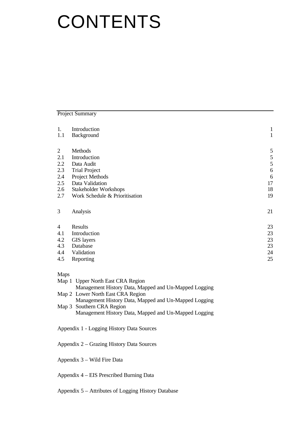# **CONTENTS**

Project Summary

| 1.             | Introduction                   | $\mathbf{1}$  |  |
|----------------|--------------------------------|---------------|--|
| 1.1            | Background                     |               |  |
|                |                                |               |  |
| $\overline{2}$ | Methods                        | 5             |  |
| 2.1            | Introduction                   |               |  |
| 2.2            | Data Audit                     | $\frac{5}{5}$ |  |
| 2.3            | <b>Trial Project</b>           | 6             |  |
| 2.4            | Project Methods                | 6             |  |
| 2.5            | Data Validation                | 17            |  |
| 2.6            | Stakeholder Workshops          |               |  |
| 2.7            | Work Schedule & Prioritisation | 19            |  |
| 3              | Analysis                       | 21            |  |
| $\overline{4}$ | Results                        | 23            |  |
| 4.1            | Introduction                   | 23            |  |
| 4.2            | <b>GIS</b> layers              | 23            |  |
| 4.3            | Database                       | 23            |  |
| 4.4            | Validation                     | 24            |  |
| 4.5            | Reporting                      | 25            |  |
|                |                                |               |  |

Maps

| 1.2997 |                                                       |
|--------|-------------------------------------------------------|
|        | Map 1 Upper North East CRA Region                     |
|        | Management History Data, Mapped and Un-Mapped Logging |
|        | Map 2 Lower North East CRA Region                     |
|        | Management History Data, Mapped and Un-Mapped Logging |
|        | Map 3 Southern CRA Region                             |
|        | Management History Data, Mapped and Un-Mapped Logging |
|        |                                                       |

- Appendix 1 Logging History Data Sources
- Appendix 2 Grazing History Data Sources
- Appendix 3 Wild Fire Data

Appendix 4 – EIS Prescribed Burning Data

Appendix 5 – Attributes of Logging History Database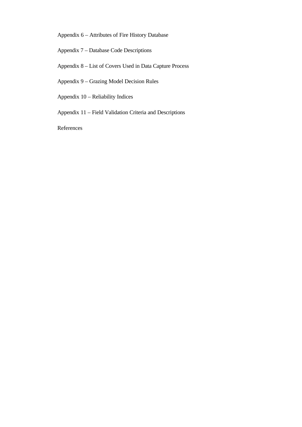Appendix 6 – Attributes of Fire History Database

Appendix 7 – Database Code Descriptions

- Appendix 8 List of Covers Used in Data Capture Process
- Appendix 9 Grazing Model Decision Rules
- Appendix 10 Reliability Indices
- Appendix 11 Field Validation Criteria and Descriptions

References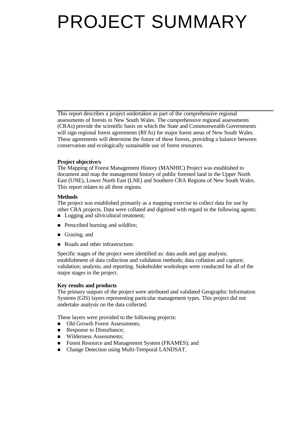# PROJECT SUMMARY

This report describes a project undertaken as part of the comprehensive regional assessments of forests in New South Wales. The comprehensive regional assessments (CRAs) provide the scientific basis on which the State and Commonwealth Governments will sign regional forest agreements (RFAs) for major forest areas of New South Wales. These agreements will determine the future of these forests, providing a balance between conservation and ecologically sustainable use of forest resources.

#### **Project objective/s**

The Mapping of Forest Management History (MANHIC) Project was established to document and map the management history of public forested land in the Upper North East (UNE), Lower North East (LNE) and Southern CRA Regions of New South Wales. This report relates to all three regions.

#### **Methods**

The project was established primarily as a mapping exercise to collect data for use by other CRA projects. Data were collated and digitised with regard to the following agents:

- Logging and silvicultural treatment;
- **n** Prescribed burning and wildfire;
- **n** Grazing; and
- Roads and other infrastructure.

Specific stages of the project were identified as: data audit and gap analysis; establishment of data collection and validation methods; data collation and capture; validation; analysis; and reporting. Stakeholder workshops were conducted for all of the major stages in the project.

#### **Key results and products**

The primary outputs of the project were attributed and validated Geographic Information Systems (GIS) layers representing particular management types. This project did not undertake analysis on the data collected.

These layers were provided to the following projects:

- Old Growth Forest Assessments;
- Response to Disturbance;
- Wilderness Assessments;
- Forest Resource and Management System (FRAMES); and
- Change Detection using Multi-Temporal LANDSAT.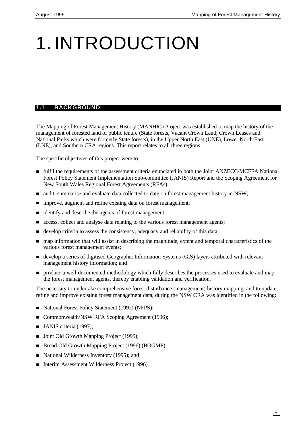# 1.INTRODUCTION

# **1.1 BACKGROUND**

The Mapping of Forest Management History (MANHIC) Project was established to map the history of the management of forested land of public tenure (State forests, Vacant Crown Land, Crown Leases and National Parks which were formerly State forests), in the Upper North East (UNE), Lower North East (LNE), and Southern CRA regions. This report relates to all three regions.

The specific objectives of this project were to:

- n fulfil the requirements of the assessment criteria enunciated in both the Joint ANZECC/MCFFA National Forest Policy Statement Implementation Sub-committee (JANIS) Report and the Scoping Agreement for New South Wales Regional Forest Agreements (RFAs);
- n audit, summarise and evaluate data collected to date on forest management history in NSW;
- improve, augment and refine existing data on forest management;
- n identify and describe the agents of forest management;
- n access, collect and analyse data relating to the various forest management agents;
- $\blacksquare$  develop criteria to assess the consistency, adequacy and reliability of this data;
- n map information that will assist in describing the magnitude, extent and temporal characteristics of the various forest management events;
- develop a series of digitised Geographic Information Systems (GIS) layers attributed with relevant management history information; and
- n produce a well-documented methodology which fully describes the processes used to evaluate and map the forest management agents, thereby enabling validation and verification.

The necessity to undertake comprehensive forest disturbance (management) history mapping, and to update, refine and improve existing forest management data, during the NSW CRA was identified in the following:

- National Forest Policy Statement (1992) (NFPS);
- Commonwealth/NSW RFA Scoping Agreement (1996);
- $\blacksquare$  JANIS criteria (1997);
- Joint Old Growth Mapping Project (1995);
- Broad Old Growth Mapping Project (1996) (BOGMP);
- National Wilderness Inventory (1995); and
- Interim Assessment Wilderness Project (1996).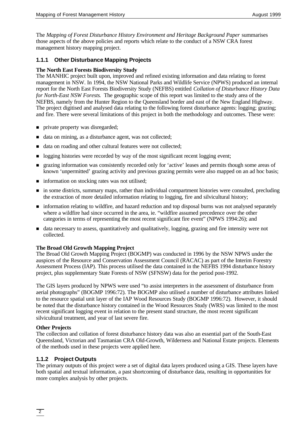The *Mapping of Forest Disturbance History Environment and Heritage Background Paper* summarises those aspects of the above policies and reports which relate to the conduct of a NSW CRA forest management history mapping project.

# **1.1.1 Other Disturbance Mapping Projects**

#### **The North East Forests Biodiversity Study**

The MANHIC project built upon, improved and refined existing information and data relating to forest management in NSW. In 1994, the NSW National Parks and Wildlife Service (NPWS) produced an internal report for the North East Forests Biodiversity Study (NEFBS) entitled *Collation of Disturbance History Data for North-East NSW Forests*. The geographic scope of this report was limited to the study area of the NEFBS, namely from the Hunter Region to the Queensland border and east of the New England Highway. The project digitised and analysed data relating to the following forest disturbance agents: logging; grazing; and fire. There were several limitations of this project in both the methodology and outcomes. These were:

- n private property was disregarded;
- data on mining, as a disturbance agent, was not collected;
- data on roading and other cultural features were not collected;
- n logging histories were recorded by way of the most significant recent logging event;
- n grazing information was consistently recorded only for 'active' leases and permits though some areas of known 'unpermitted' grazing activity and previous grazing permits were also mapped on an ad hoc basis;
- $\blacksquare$  information on stocking rates was not utilised;
- n in some districts, summary maps, rather than individual compartment histories were consulted, precluding the extraction of more detailed information relating to logging, fire and silvicultural history;
- n information relating to wildfire, and hazard reduction and top disposal burns was not analysed separately where a wildfire had since occurred in the area, ie. "wildfire assumed precedence over the other categories in terms of representing the most recent significant fire event" (NPWS 1994:26); and
- n data necessary to assess, quantitatively and qualitatively, logging, grazing and fire intensity were not collected.

#### **The Broad Old Growth Mapping Project**

The Broad Old Growth Mapping Project (BOGMP) was conducted in 1996 by the NSW NPWS under the auspices of the Resource and Conservation Assessment Council (RACAC) as part of the Interim Forestry Assessment Process (IAP). This process utilised the data contained in the NEFBS 1994 disturbance history project, plus supplementary State Forests of NSW (SFNSW) data for the period post-1992.

The GIS layers produced by NPWS were used "to assist interpreters in the assessment of disturbance from aerial photographs" (BOGMP 1996:72). The BOGMP also utilised a number of disturbance attributes linked to the resource spatial unit layer of the IAP Wood Resources Study (BOGMP 1996:72). However, it should be noted that the disturbance history contained in the Wood Resources Study (WRS) was limited to the most recent significant logging event in relation to the present stand structure, the most recent significant silvicultural treatment, and year of last severe fire.

#### **Other Projects**

The collection and collation of forest disturbance history data was also an essential part of the South-East Queensland, Victorian and Tasmanian CRA Old-Growth, Wilderness and National Estate projects. Elements of the methods used in these projects were applied here.

### **1.1.2 Project Outputs**

The primary outputs of this project were a set of digital data layers produced using a GIS. These layers have both spatial and textual information, a past shortcoming of disturbance data, resulting in opportunities for more complex analysis by other projects.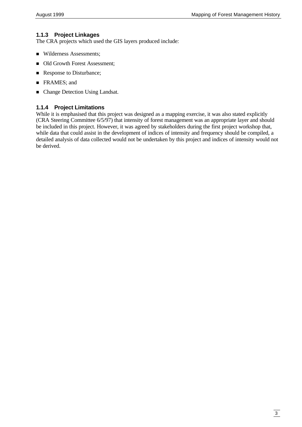# **1.1.3 Project Linkages**

The CRA projects which used the GIS layers produced include:

- Wilderness Assessments;
- $\blacksquare$  Old Growth Forest Assessment;
- Response to Disturbance;
- **FRAMES**; and
- Change Detection Using Landsat.

### **1.1.4 Project Limitations**

While it is emphasised that this project was designed as a mapping exercise, it was also stated explicitly (CRA Steering Committee 6/5/97) that intensity of forest management was an appropriate layer and should be included in this project. However, it was agreed by stakeholders during the first project workshop that, while data that could assist in the development of indices of intensity and frequency should be compiled, a detailed analysis of data collected would not be undertaken by this project and indices of intensity would not be derived.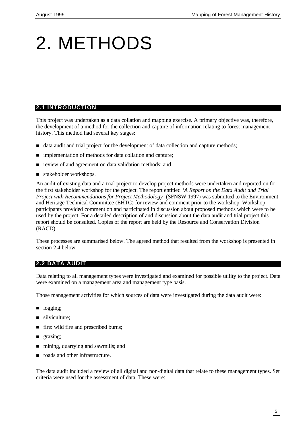# 2. METHODS

# **2.1 INTRODUCTION**

This project was undertaken as a data collation and mapping exercise. A primary objective was, therefore, the development of a method for the collection and capture of information relating to forest management history. This method had several key stages:

- n data audit and trial project for the development of data collection and capture methods;
- n implementation of methods for data collation and capture;
- n review of and agreement on data validation methods; and
- stakeholder workshops.

An audit of existing data and a trial project to develop project methods were undertaken and reported on for the first stakeholder workshop for the project. The report entitled *'A Report on the Data Audit and Trial Project with Recommendations for Project Methodology'* (SFNSW 1997) was submitted to the Environment and Heritage Technical Committee (EHTC) for review and comment prior to the workshop. Workshop participants provided comment on and participated in discussion about proposed methods which were to be used by the project. For a detailed description of and discussion about the data audit and trial project this report should be consulted. Copies of the report are held by the Resource and Conservation Division (RACD).

These processes are summarised below. The agreed method that resulted from the workshop is presented in section 2.4 below.

# **2.2 DATA AUDIT**

Data relating to all management types were investigated and examined for possible utility to the project. Data were examined on a management area and management type basis.

Those management activities for which sources of data were investigated during the data audit were:

- logging;
- $\blacksquare$  silviculture:
- fire: wild fire and prescribed burns;
- **n** grazing;
- n mining, quarrying and sawmills; and
- n roads and other infrastructure.

The data audit included a review of all digital and non-digital data that relate to these management types. Set criteria were used for the assessment of data. These were: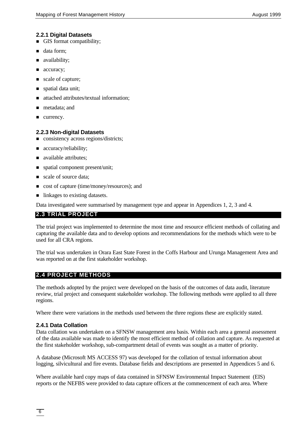### **2.2.1 Digital Datasets**

- **n** GIS format compatibility;
- **n** data form;
- ullability;
- accuracy;
- scale of capture;
- **n** spatial data unit;
- n attached attributes/textual information;
- **n** metadata; and
- urrency.

# **2.2.3 Non-digital Datasets**

- n consistency across regions/districts;
- $\blacksquare$  accuracy/reliability;
- ullable attributes;
- spatial component present/unit;
- scale of source data;
- cost of capture (time/money/resources); and
- $\blacksquare$  linkages to existing datasets.

Data investigated were summarised by management type and appear in Appendices 1, 2, 3 and 4.

# **2.3 TRIAL PROJECT**

The trial project was implemented to determine the most time and resource efficient methods of collating and capturing the available data and to develop options and recommendations for the methods which were to be used for all CRA regions.

The trial was undertaken in Orara East State Forest in the Coffs Harbour and Urunga Management Area and was reported on at the first stakeholder workshop.

# **2.4 PROJECT METHODS**

The methods adopted by the project were developed on the basis of the outcomes of data audit, literature review, trial project and consequent stakeholder workshop. The following methods were applied to all three regions.

Where there were variations in the methods used between the three regions these are explicitly stated.

# **2.4.1 Data Collation**

Data collation was undertaken on a SFNSW management area basis. Within each area a general assessment of the data available was made to identify the most efficient method of collation and capture. As requested at the first stakeholder workshop, sub-compartment detail of events was sought as a matter of priority.

A database (Microsoft MS ACCESS 97) was developed for the collation of textual information about logging, silvicultural and fire events. Database fields and descriptions are presented in Appendices 5 and 6.

Where available hard copy maps of data contained in SFNSW Environmental Impact Statement (EIS) reports or the NEFBS were provided to data capture officers at the commencement of each area. Where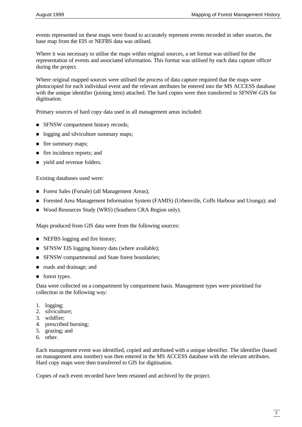events represented on these maps were found to accurately represent events recorded in other sources, the base map from the EIS or NEFBS data was utilised.

Where it was necessary to utilise the maps within original sources, a set format was utilised for the representation of events and associated information. This format was utilised by each data capture officer during the project.

Where original mapped sources were utilised the process of data capture required that the maps were photocopied for each individual event and the relevant attributes be entered into the MS ACCESS database with the unique identifier (joining item) attached. The hard copies were then transferred to SFNSW-GIS for digitisation.

Primary sources of hard copy data used in all management areas included:

- **n** SFNSW compartment history records;
- logging and silviculture summary maps;
- fire summary maps;
- fire incidence reports; and
- vield and revenue folders.

Existing databases used were:

- Forest Sales (Forsale) (all Management Areas);
- n Forested Area Management Information System (FAMIS) (Urbenville, Coffs Harbour and Urunga); and
- Wood Resources Study (WRS) (Southern CRA Region only).

Maps produced from GIS data were from the following sources:

- NEFBS logging and fire history;
- **n** SFNSW EIS logging history data (where available);
- **n** SFNSW compartmental and State forest boundaries;
- n roads and drainage; and
- **n** forest types.

Data were collected on a compartment by compartment basis. Management types were prioritised for collection in the following way:

- 1. logging;
- 2. silviculture;
- 3. wildfire;
- 4. prescribed burning;
- 5. grazing; and
- 6. other.

Each management event was identified, copied and attributed with a unique identifier. The identifier (based on management area number) was then entered in the MS ACCESS database with the relevant attributes. Hard copy maps were then transferred to GIS for digitisation.

Copies of each event recorded have been retained and archived by the project.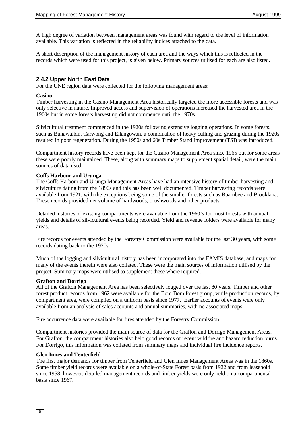A high degree of variation between management areas was found with regard to the level of information available. This variation is reflected in the reliability indices attached to the data.

A short description of the management history of each area and the ways which this is reflected in the records which were used for this project, is given below. Primary sources utilised for each are also listed.

#### **2.4.2 Upper North East Data**

For the UNE region data were collected for the following management areas:

#### **Casino**

Timber harvesting in the Casino Management Area historically targeted the more accessible forests and was only selective in nature. Improved access and supervision of operations increased the harvested area in the 1960s but in some forests harvesting did not commence until the 1970s.

Silvicultural treatment commenced in the 1920s following extensive logging operations. In some forests, such as Bunawalbin, Carwong and Ellangowan, a combination of heavy culling and grazing during the 1920s resulted in poor regeneration. During the 1950s and 60s Timber Stand Improvement (TSI) was introduced.

Compartment history records have been kept for the Casino Management Area since 1965 but for some areas these were poorly maintained. These, along with summary maps to supplement spatial detail, were the main sources of data used.

#### **Coffs Harbour and Urunga**

The Coffs Harbour and Urunga Management Areas have had an intensive history of timber harvesting and silviculture dating from the 1890s and this has been well documented. Timber harvesting records were available from 1921, with the exceptions being some of the smaller forests such as Boambee and Brooklana. These records provided net volume of hardwoods, brushwoods and other products.

Detailed histories of existing compartments were available from the 1960's for most forests with annual yields and details of silvicultural events being recorded. Yield and revenue folders were available for many areas.

Fire records for events attended by the Forestry Commission were available for the last 30 years, with some records dating back to the 1920s.

Much of the logging and silvicultural history has been incorporated into the FAMIS database, and maps for many of the events therein were also collated. These were the main sources of information utilised by the project. Summary maps were utilised to supplement these where required.

#### **Grafton and Dorrigo**

All of the Grafton Management Area has been selectively logged over the last 80 years. Timber and other forest product records from 1962 were available for the Bom Bom forest group, while production records, by compartment area, were compiled on a uniform basis since 1977. Earlier accounts of events were only available from an analysis of sales accounts and annual summaries, with no associated maps.

Fire occurrence data were available for fires attended by the Forestry Commission.

Compartment histories provided the main source of data for the Grafton and Dorrigo Management Areas. For Grafton, the compartment histories also held good records of recent wildfire and hazard reduction burns. For Dorrigo, this information was collated from summary maps and individual fire incidence reports.

#### **Glen Innes and Tenterfield**

The first major demands for timber from Tenterfield and Glen Innes Management Areas was in the 1860s. Some timber yield records were available on a whole-of-State Forest basis from 1922 and from leasehold since 1958, however, detailed management records and timber yields were only held on a compartmental basis since 1967.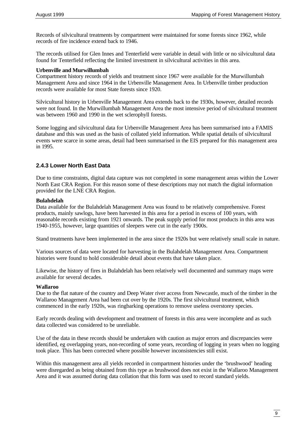Records of silvicultural treatments by compartment were maintained for some forests since 1962, while records of fire incidence extend back to 1946.

The records utilised for Glen Innes and Tenterfield were variable in detail with little or no silvicultural data found for Tenterfield reflecting the limited investment in silvicultural activities in this area.

#### **Urbenville and Murwillumbah**

Compartment history records of yields and treatment since 1967 were available for the Murwillumbah Management Area and since 1964 in the Urbenville Management Area. In Urbenville timber production records were available for most State forests since 1920.

Silvicultural history in Urbenville Management Area extends back to the 1930s, however, detailed records were not found. In the Murwillumbah Management Area the most intensive period of silvicultural treatment was between 1960 and 1990 in the wet sclerophyll forests.

Some logging and silvicultural data for Urbenville Management Area has been summarised into a FAMIS database and this was used as the basis of collated yield information. While spatial details of silvicultural events were scarce in some areas, detail had been summarised in the EIS prepared for this management area in 1995.

### **2.4.3 Lower North East Data**

Due to time constraints, digital data capture was not completed in some management areas within the Lower North East CRA Region. For this reason some of these descriptions may not match the digital information provided for the LNE CRA Region.

#### **Bulahdelah**

Data available for the Bulahdelah Management Area was found to be relatively comprehensive. Forest products, mainly sawlogs, have been harvested in this area for a period in excess of 100 years, with reasonable records existing from 1921 onwards. The peak supply period for most products in this area was 1940-1955, however, large quantities of sleepers were cut in the early 1900s.

Stand treatments have been implemented in the area since the 1920s but were relatively small scale in nature.

Various sources of data were located for harvesting in the Bulahdelah Management Area. Compartment histories were found to hold considerable detail about events that have taken place.

Likewise, the history of fires in Bulahdelah has been relatively well documented and summary maps were available for several decades.

#### **Wallaroo**

Due to the flat nature of the country and Deep Water river access from Newcastle, much of the timber in the Wallaroo Management Area had been cut over by the 1920s. The first silvicultural treatment, which commenced in the early 1920s, was ringbarking operations to remove useless overstorey species.

Early records dealing with development and treatment of forests in this area were incomplete and as such data collected was considered to be unreliable.

Use of the data in these records should be undertaken with caution as major errors and discrepancies were identified, eg overlapping years, non-recording of some years, recording of logging in years when no logging took place. This has been corrected where possible however inconsistencies still exist.

Within this management area all yields recorded in compartment histories under the 'brushwood' heading were disregarded as being obtained from this type as brushwood does not exist in the Wallaroo Management Area and it was assumed during data collation that this form was used to record standard yields.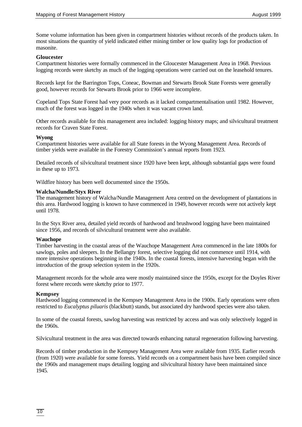Some volume information has been given in compartment histories without records of the products taken. In most situations the quantity of yield indicated either mining timber or low quality logs for production of masonite.

#### **Gloucester**

Compartment histories were formally commenced in the Gloucester Management Area in 1968. Previous logging records were sketchy as much of the logging operations were carried out on the leasehold tenures.

Records kept for the Barrington Tops, Coneac, Bowman and Stewarts Brook State Forests were generally good, however records for Stewarts Brook prior to 1966 were incomplete.

Copeland Tops State Forest had very poor records as it lacked compartmentalisation until 1982. However, much of the forest was logged in the 1940s when it was vacant crown land.

Other records available for this management area included: logging history maps; and silvicultural treatment records for Craven State Forest.

#### **Wyong**

Compartment histories were available for all State forests in the Wyong Management Area. Records of timber yields were available in the Forestry Commission's annual reports from 1923.

Detailed records of silvicultural treatment since 1920 have been kept, although substantial gaps were found in these up to 1973.

Wildfire history has been well documented since the 1950s.

#### **Walcha/Nundle/Styx River**

The management history of Walcha/Nundle Management Area centred on the development of plantations in this area. Hardwood logging is known to have commenced in 1949, however records were not actively kept until 1978.

In the Styx River area, detailed yield records of hardwood and brushwood logging have been maintained since 1956, and records of silvicultural treatment were also available.

#### **Wauchope**

Timber harvesting in the coastal areas of the Wauchope Management Area commenced in the late 1800s for sawlogs, poles and sleepers. In the Bellangry forest, selective logging did not commence until 1914, with more intensive operations beginning in the 1940s. In the coastal forests, intensive harvesting began with the introduction of the group selection system in the 1920s.

Management records for the whole area were mostly maintained since the 1950s, except for the Doyles River forest where records were sketchy prior to 1977.

#### **Kempsey**

Hardwood logging commenced in the Kempsey Management Area in the 1900s. Early operations were often restricted to *Eucalyptus piluaris* (blackbutt) stands, but associated dry hardwood species were also taken.

In some of the coastal forests, sawlog harvesting was restricted by access and was only selectively logged in the 1960s.

Silvicultural treatment in the area was directed towards enhancing natural regeneration following harvesting.

Records of timber production in the Kempsey Management Area were available from 1935. Earlier records (from 1920) were available for some forests. Yield records on a compartment basis have been compiled since the 1960s and management maps detailing logging and silvicultural history have been maintained since 1945.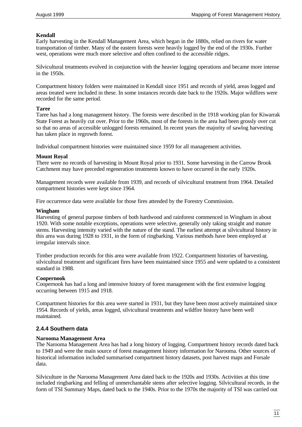### **Kendall**

Early harvesting in the Kendall Management Area, which began in the 1880s, relied on rivers for water transportation of timber. Many of the eastern forests were heavily logged by the end of the 1930s. Further west, operations were much more selective and often confined to the accessible ridges.

Silvicultural treatments evolved in conjunction with the heavier logging operations and became more intense in the 1950s.

Compartment history folders were maintained in Kendall since 1951 and records of yield, areas logged and areas treated were included in these. In some instances records date back to the 1920s. Major wildfires were recorded for the same period.

#### **Taree**

Taree has had a long management history. The forests were described in the 1918 working plan for Kiwarrak State Forest as heavily cut over. Prior to the 1960s, most of the forests in the area had been grossly over cut so that no areas of accessible unlogged forests remained. In recent years the majority of sawlog harvesting has taken place in regrowth forest.

Individual compartment histories were maintained since 1959 for all management activities.

#### **Mount Royal**

There were no records of harvesting in Mount Royal prior to 1931. Some harvesting in the Carrow Brook Catchment may have preceded regeneration treatments known to have occurred in the early 1920s.

Management records were available from 1939, and records of silvicultural treatment from 1964. Detailed compartment histories were kept since 1964.

Fire occurrence data were available for those fires attended by the Forestry Commission.

#### **Wingham**

Harvesting of general purpose timbers of both hardwood and rainforest commenced in Wingham in about 1920. With some notable exceptions, operations were selective, generally only taking straight and mature stems. Harvesting intensity varied with the nature of the stand. The earliest attempt at silvicultural history in this area was during 1928 to 1931, in the form of ringbarking. Various methods have been employed at irregular intervals since.

Timber production records for this area were available from 1922. Compartment histories of harvesting, silvicultural treatment and significant fires have been maintained since 1955 and were updated to a consistent standard in 1988.

#### **Coopernook**

Coopernook has had a long and intensive history of forest management with the first extensive logging occurring between 1915 and 1918.

Compartment histories for this area were started in 1931, but they have been most actively maintained since 1954. Records of yields, areas logged, silvicultural treatments and wildfire history have been well maintained.

### **2.4.4 Southern data**

#### **Narooma Management Area**

The Narooma Management Area has had a long history of logging. Compartment history records dated back to 1949 and were the main source of forest management history information for Narooma. Other sources of historical information included summarised compartment history datasets, post harvest maps and Forsale data.

Silviculture in the Narooma Management Area dated back to the 1920s and 1930s. Activities at this time included ringbarking and felling of unmerchantable stems after selective logging. Silvicultural records, in the form of TSI Summary Maps, dated back to the 1940s. Prior to the 1970s the majority of TSI was carried out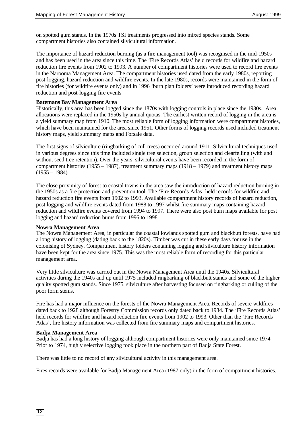on spotted gum stands. In the 1970s TSI treatments progressed into mixed species stands. Some compartment histories also contained silvicultural information.

The importance of hazard reduction burning (as a fire management tool) was recognised in the mid-1950s and has been used in the area since this time. The 'Fire Records Atlas' held records for wildfire and hazard reduction fire events from 1902 to 1993. A number of compartment histories were used to record fire events in the Narooma Management Area. The compartment histories used dated from the early 1980s, reporting post-logging, hazard reduction and wildfire events. In the late 1980s, records were maintained in the form of fire histories (for wildfire events only) and in 1996 'burn plan folders' were introduced recording hazard reduction and post-logging fire events.

#### **Batemans Bay Management Area**

Historically, this area has been logged since the 1870s with logging controls in place since the 1930s. Area allocations were replaced in the 1950s by annual quotas. The earliest written record of logging in the area is a yield summary map from 1910. The most reliable form of logging information were compartment histories, which have been maintained for the area since 1951. Other forms of logging records used included treatment history maps, yield summary maps and Forsale data.

The first signs of silviculture (ringbarking of cull trees) occurred around 1911. Silvicultural techniques used in various degrees since this time included single tree selection, group selection and clearfelling (with and without seed tree retention). Over the years, silvicultural events have been recorded in the form of compartment histories (1955 – 1987), treatment summary maps (1918 – 1979) and treatment history maps  $(1955 - 1984)$ .

The close proximity of forest to coastal towns in the area saw the introduction of hazard reduction burning in the 1950s as a fire protection and prevention tool. The 'Fire Records Atlas' held records for wildfire and hazard reduction fire events from 1902 to 1993. Available compartment history records of hazard reduction, post logging and wildfire events dated from 1988 to 1997 whilst fire summary maps containing hazard reduction and wildfire events covered from 1994 to 1997. There were also post burn maps available for post logging and hazard reduction burns from 1996 to 1998.

#### **Nowra Management Area**

The Nowra Management Area, in particular the coastal lowlands spotted gum and blackbutt forests, have had a long history of logging (dating back to the 1820s). Timber was cut in these early days for use in the colonising of Sydney. Compartment history folders containing logging and silviculture history information have been kept for the area since 1975. This was the most reliable form of recording for this particular management area.

Very little silviculture was carried out in the Nowra Management Area until the 1940s. Silvicultural activities during the 1940s and up until 1975 included ringbarking of blackbutt stands and some of the higher quality spotted gum stands. Since 1975, silviculture after harvesting focused on ringbarking or culling of the poor form stems.

Fire has had a major influence on the forests of the Nowra Management Area. Records of severe wildfires dated back to 1928 although Forestry Commission records only dated back to 1984. The 'Fire Records Atlas' held records for wildfire and hazard reduction fire events from 1902 to 1993. Other than the 'Fire Records Atlas', fire history information was collected from fire summary maps and compartment histories.

#### **Badja Management Area**

Badja has had a long history of logging although compartment histories were only maintained since 1974. Prior to 1974, highly selective logging took place in the northern part of Badja State Forest.

There was little to no record of any silvicultural activity in this management area.

Fires records were available for Badja Management Area (1987 only) in the form of compartment histories.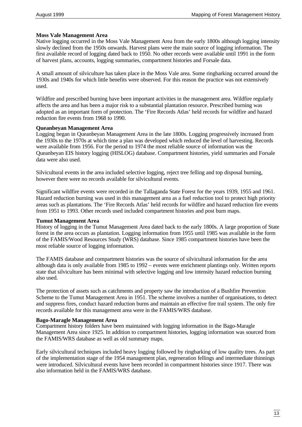#### **Moss Vale Management Area**

Native logging occurred in the Moss Vale Management Area from the early 1800s although logging intensity slowly declined from the 1950s onwards. Harvest plans were the main source of logging information. The first available record of logging dated back to 1950. No other records were available until 1991 in the form of harvest plans, accounts, logging summaries, compartment histories and Forsale data.

A small amount of silviculture has taken place in the Moss Vale area. Some ringbarking occurred around the 1930s and 1940s for which little benefits were observed. For this reason the practice was not extensively used.

Wildfire and prescribed burning have been important activities in the management area. Wildfire regularly affects the area and has been a major risk to a substantial plantation resource. Prescribed burning was adopted as an important form of protection. The 'Fire Records Atlas' held records for wildfire and hazard reduction fire events from 1968 to 1990.

#### **Queanbeyan Management Area**

Logging began in Queanbeyan Management Area in the late 1800s. Logging progressively increased from the 1930s to the 1970s at which time a plan was developed which reduced the level of harvesting. Records were available from 1956. For the period to 1974 the most reliable source of information was the Queanbeyan EIS history logging (HISLOG) database. Compartment histories, yield summaries and Forsale data were also used.

Silvicultural events in the area included selective logging, reject tree felling and top disposal burning, however there were no records available for silvicultural events.

Significant wildfire events were recorded in the Tallaganda State Forest for the years 1939, 1955 and 1961. Hazard reduction burning was used in this management area as a fuel reduction tool to protect high priority areas such as plantations. The 'Fire Records Atlas' held records for wildfire and hazard reduction fire events from 1951 to 1993. Other records used included compartment histories and post burn maps.

#### **Tumut Management Area**

History of logging in the Tumut Management Area dated back to the early 1800s. A large proportion of State forest in the area occurs as plantation. Logging information from 1955 until 1985 was available in the form of the FAMIS/Wood Resources Study (WRS) database. Since 1985 compartment histories have been the most reliable source of logging information.

The FAMIS database and compartment histories was the source of silvicultural information for the area although data is only available from 1985 to 1992 – events were enrichment plantings only. Written reports state that silviculture has been minimal with selective logging and low intensity hazard reduction burning also used.

The protection of assets such as catchments and property saw the introduction of a Bushfire Prevention Scheme to the Tumut Management Area in 1951. The scheme involves a number of organisations, to detect and suppress fires, conduct hazard reduction burns and maintain an effective fire trail system. The only fire records available for this management area were in the FAMIS/WRS database.

#### **Bago-Maragle Management Area**

Compartment history folders have been maintained with logging information in the Bago-Maragle Management Area since 1925. In addition to compartment histories, logging information was sourced from the FAMIS/WRS database as well as old summary maps.

Early silvicultural techniques included heavy logging followed by ringbarking of low quality trees. As part of the implementation stage of the 1954 management plan, regeneration fellings and intermediate thinnings were introduced. Silvicultural events have been recorded in compartment histories since 1917. There was also information held in the FAMIS/WRS database.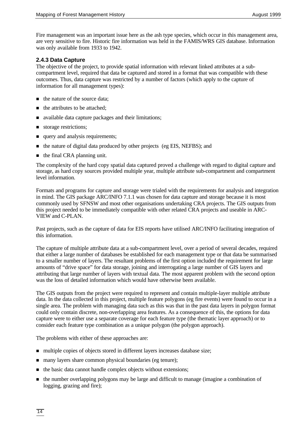Fire management was an important issue here as the ash type species, which occur in this management area, are very sensitive to fire. Historic fire information was held in the FAMIS/WRS GIS database. Information was only available from 1933 to 1942.

### **2.4.3 Data Capture**

The objective of the project, to provide spatial information with relevant linked attributes at a subcompartment level, required that data be captured and stored in a format that was compatible with these outcomes. Thus, data capture was restricted by a number of factors (which apply to the capture of information for all management types):

- the nature of the source data;
- $\blacksquare$  the attributes to be attached;
- available data capture packages and their limitations;
- storage restrictions;
- query and analysis requirements;
- the nature of digital data produced by other projects (eg EIS, NEFBS); and
- $\blacksquare$  the final CRA planning unit.

The complexity of the hard copy spatial data captured proved a challenge with regard to digital capture and storage, as hard copy sources provided multiple year, multiple attribute sub-compartment and compartment level information.

Formats and programs for capture and storage were trialed with the requirements for analysis and integration in mind. The GIS package ARC/INFO 7.1.1 was chosen for data capture and storage because it is most commonly used by SFNSW and most other organisations undertaking CRA projects. The GIS outputs from this project needed to be immediately compatible with other related CRA projects and useable in ARC-VIEW and C-PLAN.

Past projects, such as the capture of data for EIS reports have utilised ARC/INFO facilitating integration of this information.

The capture of multiple attribute data at a sub-compartment level, over a period of several decades, required that either a large number of databases be established for each management type or that data be summarised to a smaller number of layers. The resultant problems of the first option included the requirement for large amounts of "drive space" for data storage, joining and interrogating a large number of GIS layers and attributing that large number of layers with textual data. The most apparent problem with the second option was the loss of detailed information which would have otherwise been available.

The GIS outputs from the project were required to represent and contain multiple-layer multiple attribute data. In the data collected in this project, multiple feature polygons (eg fire events) were found to occur in a single area. The problem with managing data such as this was that in the past data layers in polygon format could only contain discrete, non-overlapping area features. As a consequence of this, the options for data capture were to either use a separate coverage for each feature type (the thematic layer approach) or to consider each feature type combination as a unique polygon (the polygon approach).

The problems with either of these approaches are:

- multiple copies of objects stored in different layers increases database size;
- many layers share common physical boundaries (eg tenure);
- $\blacksquare$  the basic data cannot handle complex objects without extensions;
- n the number overlapping polygons may be large and difficult to manage (imagine a combination of logging, grazing and fire);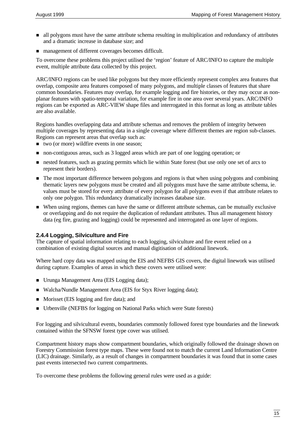- n all polygons must have the same attribute schema resulting in multiplication and redundancy of attributes and a dramatic increase in database size; and
- management of different coverages becomes difficult.

To overcome these problems this project utilised the 'region' feature of ARC/INFO to capture the multiple event, multiple attribute data collected by this project.

ARC/INFO regions can be used like polygons but they more efficiently represent complex area features that overlap, composite area features composed of many polygons, and multiple classes of features that share common boundaries. Features may overlap, for example logging and fire histories, or they may occur as nonplanar features with spatio-temporal variation, for example fire in one area over several years. ARC/INFO regions can be exported as ARC-VIEW shape files and interrogated in this format as long as attribute tables are also available.

Regions handles overlapping data and attribute schemas and removes the problem of integrity between multiple coverages by representing data in a single coverage where different themes are region sub-classes. Regions can represent areas that overlap such as:

- $\blacksquare$  two (or more) wildfire events in one season;
- non-contiguous areas, such as 3 logged areas which are part of one logging operation; or
- nested features, such as grazing permits which lie within State forest (but use only one set of arcs to represent their borders).
- n The most important difference between polygons and regions is that when using polygons and combining thematic layers new polygons must be created and all polygons must have the same attribute schema, ie. values must be stored for every attribute of every polygon for all polygons even if that attribute relates to only one polygon. This redundancy dramatically increases database size.
- n When using regions, themes can have the same or different attribute schemas, can be mutually exclusive or overlapping and do not require the duplication of redundant attributes. Thus all management history data (eg fire, grazing and logging) could be represented and interrogated as one layer of regions.

# **2.4.4 Logging, Silviculture and Fire**

The capture of spatial information relating to each logging, silviculture and fire event relied on a combination of existing digital sources and manual digitisation of additional linework.

Where hard copy data was mapped using the EIS and NEFBS GIS covers, the digital linework was utilised during capture. Examples of areas in which these covers were utilised were:

- Urunga Management Area (EIS Logging data);
- Walcha/Nundle Management Area (EIS for Styx River logging data);
- Morisset (EIS logging and fire data); and
- n Urbenville (NEFBS for logging on National Parks which were State forests)

For logging and silvicultural events, boundaries commonly followed forest type boundaries and the linework contained within the SFNSW forest type cover was utilised.

Compartment history maps show compartment boundaries, which originally followed the drainage shown on Forestry Commission forest type maps. These were found not to match the current Land Information Centre (LIC) drainage. Similarly, as a result of changes in compartment boundaries it was found that in some cases past events intersected two current compartments.

To overcome these problems the following general rules were used as a guide: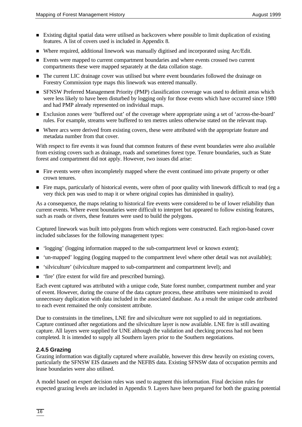- n Existing digital spatial data were utilised as backcovers where possible to limit duplication of existing features. A list of covers used is included in Appendix 8.
- Where required, additional linework was manually digitised and incorporated using Arc/Edit.
- n Events were mapped to current compartment boundaries and where events crossed two current compartments these were mapped separately at the data collation stage.
- n The current LIC drainage cover was utilised but where event boundaries followed the drainage on Forestry Commission type maps this linework was entered manually.
- **n** SFNSW Preferred Management Priority (PMP) classification coverage was used to delimit areas which were less likely to have been disturbed by logging only for those events which have occurred since 1980 and had PMP already represented on individual maps.
- n Exclusion zones were 'buffered out' of the coverage where appropriate using a set of 'across-the-board' rules. For example, streams were buffered to ten metres unless otherwise stated on the relevant map.
- n Where arcs were derived from existing covers, these were attributed with the appropriate feature and metadata number from that cover.

With respect to fire events it was found that common features of these event boundaries were also available from existing covers such as drainage, roads and sometimes forest type. Tenure boundaries, such as State forest and compartment did not apply. However, two issues did arise:

- n Fire events were often incompletely mapped where the event continued into private property or other crown tenures.
- n Fire maps, particularly of historical events, were often of poor quality with linework difficult to read (eg a very thick pen was used to map it or where original copies has diminished in quality).

As a consequence, the maps relating to historical fire events were considered to be of lower reliability than current events. Where event boundaries were difficult to interpret but appeared to follow existing features, such as roads or rivers, these features were used to build the polygons.

Captured linework was built into polygons from which regions were constructed. Each region-based cover included subclasses for the following management types:

- 'logging' (logging information mapped to the sub-compartment level or known extent);
- n 'un-mapped' logging (logging mapped to the compartment level where other detail was not available);
- 'silviculture' (silviculture mapped to sub-compartment and compartment level); and
- n 'fire' (fire extent for wild fire and prescribed burning).

Each event captured was attributed with a unique code, State forest number, compartment number and year of event. However, during the course of the data capture process, these attributes were minimised to avoid unnecessary duplication with data included in the associated database. As a result the unique code attributed to each event remained the only consistent attribute.

Due to constraints in the timelines, LNE fire and silviculture were not supplied to aid in negotiations. Capture continued after negotiations and the silviculture layer is now available. LNE fire is still awaiting capture. All layers were supplied for UNE although the validation and checking process had not been completed. It is intended to supply all Southern layers prior to the Southern negotiations.

### **2.4.5 Grazing**

Grazing information was digitally captured where available, however this drew heavily on existing covers, particularly the SFNSW EIS datasets and the NEFBS data. Existing SFNSW data of occupation permits and lease boundaries were also utilised.

A model based on expert decision rules was used to augment this information. Final decision rules for expected grazing levels are included in Appendix 9. Layers have been prepared for both the grazing potential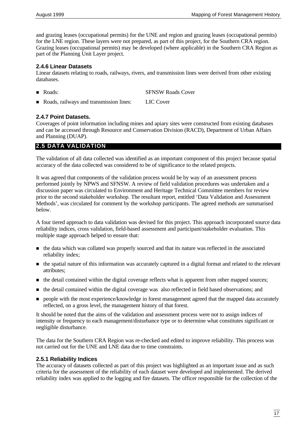and grazing leases (occupational permits) for the UNE and region and grazing leases (occupational permits) for the LNE region. These layers were not prepared, as part of this project, for the Southern CRA region. Grazing leases (occupational permits) may be developed (where applicable) in the Southern CRA Region as part of the Planning Unit Layer project.

### **2.4.6 Linear Datasets**

Linear datasets relating to roads, railways, rivers, and transmission lines were derived from other existing databases.

- Roads: SFNSW Roads Cover
- Roads, railways and transmission lines: LIC Cover

# **2.4.7 Point Datasets.**

Coverages of point information including mines and apiary sites were constructed from existing databases and can be accessed through Resource and Conservation Division (RACD), Department of Urban Affairs and Planning (DUAP).

# **2.5 DATA VALIDATION**

The validation of all data collected was identified as an important component of this project because spatial accuracy of the data collected was considered to be of significance to the related projects.

It was agreed that components of the validation process would be by way of an assessment process performed jointly by NPWS and SFNSW. A review of field validation procedures was undertaken and a discussion paper was circulated to Environment and Heritage Technical Committee members for review prior to the second stakeholder workshop. The resultant report, entitled 'Data Validation and Assessment Methods', was circulated for comment by the workshop participants. The agreed methods are summarised below.

A four tiered approach to data validation was devised for this project. This approach incorporated source data reliability indices, cross validation, field-based assessment and participant/stakeholder evaluation. This multiple stage approach helped to ensure that:

- n the data which was collated was properly sourced and that its nature was reflected in the associated reliability index;
- n the spatial nature of this information was accurately captured in a digital format and related to the relevant attributes;
- n the detail contained within the digital coverage reflects what is apparent from other mapped sources;
- n the detail contained within the digital coverage was also reflected in field based observations; and
- n people with the most experience/knowledge in forest management agreed that the mapped data accurately reflected, on a gross level, the management history of that forest.

It should be noted that the aims of the validation and assessment process were not to assign indices of intensity or frequency to each management/disturbance type or to determine what constitutes significant or negligible disturbance.

The data for the Southern CRA Region was re-checked and edited to improve reliability. This process was not carried out for the UNE and LNE data due to time constraints.

### **2.5.1 Reliability Indices**

The accuracy of datasets collected as part of this project was highlighted as an important issue and as such criteria for the assessment of the reliability of each dataset were developed and implemented. The derived reliability index was applied to the logging and fire datasets. The officer responsible for the collection of the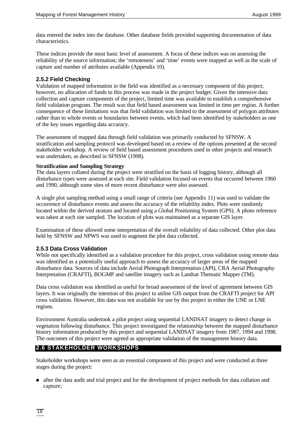data entered the index into the database. Other database fields provided supporting documentation of data characteristics.

These indices provide the most basic level of assessment. A focus of these indices was on assessing the reliability of the source information; the 'remoteness' and 'time' events were mapped as well as the scale of capture and number of attributes available (Appendix 10).

### **2.5.2 Field Checking**

Validation of mapped information in the field was identified as a necessary component of this project; however, no allocation of funds to this process was made in the project budget. Given the intensive data collection and capture components of the project, limited time was available to establish a comprehensive field validation program. The result was that field based assessment was limited in time per region. A further consequence of these limitations was that field validation was limited to the assessment of polygon attributes rather than to whole events or boundaries between events, which had been identified by stakeholders as one of the key issues regarding data accuracy.

The assessment of mapped data through field validation was primarily conducted by SFNSW. A stratification and sampling protocol was developed based on a review of the options presented at the second stakeholder workshop. A review of field based assessment procedures used in other projects and research was undertaken, as described in SFNSW (1998).

#### **Stratification and Sampling Strategy**

The data layers collated during the project were stratified on the basis of logging history, although all disturbance types were assessed at each site. Field validation focused on events that occurred between 1960 and 1990, although some sites of more recent disturbance were also assessed.

A single plot sampling method using a small range of criteria (see Appendix 11) was used to validate the occurrence of disturbance events and assess the accuracy of the reliability index. Plots were randomly located within the derived stratum and located using a Global Positioning System (GPS). A photo reference was taken at each site sampled. The location of plots was maintained as a separate GIS layer.

Examination of these allowed some interpretation of the overall reliability of data collected. Other plot data held by SFNSW and NPWS was used to augment the plot data collected.

### **2.5.3 Data Cross Validation**

While not specifically identified as a validation procedure for this project, cross validation using remote data was identified as a potentially useful approach to assess the accuracy of larger areas of the mapped disturbance data. Sources of data include Aerial Photograph Interpretation (API), CRA Aerial Photography Interpretation (CRAFTI), BOGMP and satellite imagery such as Landsat Thematic Mapper (TM).

Data cross validation was identified as useful for broad assessment of the level of agreement between GIS layers. It was originally the intention of this project to utilise GIS output from the CRAFTI project for API cross validation. However, this data was not available for use by this project in either the UNE or LNE regions.

Environment Australia undertook a pilot project using sequential LANDSAT imagery to detect change in vegetation following disturbance. This project investigated the relationship between the mapped disturbance history information produced by this project and sequential LANDSAT imagery from 1987, 1994 and 1998. The outcomes of this project were agreed as appropriate validation of the management history data.

# **2.6 STAKEHOLDER WORKSHOPS**

Stakeholder workshops were seen as an essential component of this project and were conducted at three stages during the project:

n after the data audit and trial project and for the development of project methods for data collation and capture;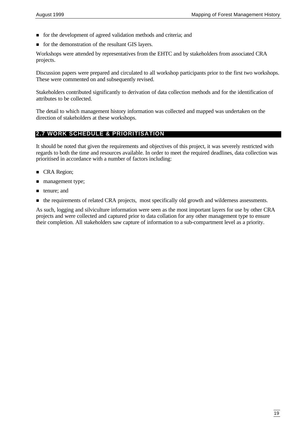- n for the development of agreed validation methods and criteria; and
- for the demonstration of the resultant GIS layers.

Workshops were attended by representatives from the EHTC and by stakeholders from associated CRA projects.

Discussion papers were prepared and circulated to all workshop participants prior to the first two workshops. These were commented on and subsequently revised.

Stakeholders contributed significantly to derivation of data collection methods and for the identification of attributes to be collected.

The detail to which management history information was collected and mapped was undertaken on the direction of stakeholders at these workshops.

# **2.7 WORK SCHEDULE & PRIORITISATION**

It should be noted that given the requirements and objectives of this project, it was severely restricted with regards to both the time and resources available. In order to meet the required deadlines, data collection was prioritised in accordance with a number of factors including:

- **n** CRA Region;
- management type;
- **n** tenure; and
- n the requirements of related CRA projects, most specifically old growth and wilderness assessments.

As such, logging and silviculture information were seen as the most important layers for use by other CRA projects and were collected and captured prior to data collation for any other management type to ensure their completion. All stakeholders saw capture of information to a sub-compartment level as a priority.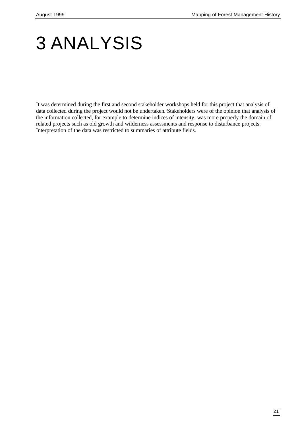# 3 ANALYSIS

It was determined during the first and second stakeholder workshops held for this project that analysis of data collected during the project would not be undertaken. Stakeholders were of the opinion that analysis of the information collected, for example to determine indices of intensity, was more properly the domain of related projects such as old growth and wilderness assessments and response to disturbance projects. Interpretation of the data was restricted to summaries of attribute fields.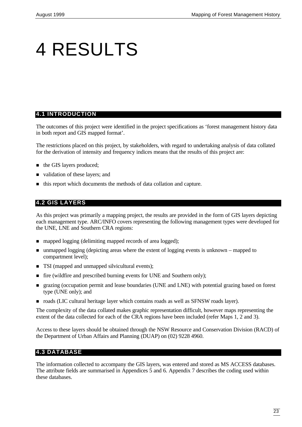# 4 RESULTS

# **4.1 INTRODUCTION**

The outcomes of this project were identified in the project specifications as 'forest management history data in both report and GIS mapped format'.

The restrictions placed on this project, by stakeholders, with regard to undertaking analysis of data collated for the derivation of intensity and frequency indices means that the results of this project are:

- the GIS layers produced;
- validation of these layers; and
- this report which documents the methods of data collation and capture.

# **4.2 GIS LAYERS**

As this project was primarily a mapping project, the results are provided in the form of GIS layers depicting each management type. ARC/INFO covers representing the following management types were developed for the UNE, LNE and Southern CRA regions:

- napped logging (delimiting mapped records of area logged);
- unmapped logging (depicting areas where the extent of logging events is unknown mapped to compartment level);
- TSI (mapped and unmapped silvicultural events);
- fire (wildfire and prescribed burning events for UNE and Southern only);
- n grazing (occupation permit and lease boundaries (UNE and LNE) with potential grazing based on forest type (UNE only); and
- n roads (LIC cultural heritage layer which contains roads as well as SFNSW roads layer).

The complexity of the data collated makes graphic representation difficult, however maps representing the extent of the data collected for each of the CRA regions have been included (refer Maps 1, 2 and 3).

Access to these layers should be obtained through the NSW Resource and Conservation Division (RACD) of the Department of Urban Affairs and Planning (DUAP) on (02) 9228 4960.

# **4.3 DATABASE**

The information collected to accompany the GIS layers, was entered and stored as MS ACCESS databases. The attribute fields are summarised in Appendices 5 and 6. Appendix 7 describes the coding used within these databases.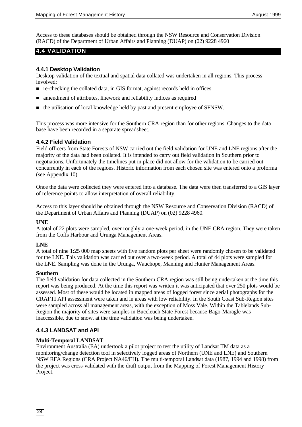Access to these databases should be obtained through the NSW Resource and Conservation Division (RACD) of the Department of Urban Affairs and Planning (DUAP) on (02) 9228 4960

# **4.4 VALIDATION**

#### **4.4.1 Desktop Validation**

Desktop validation of the textual and spatial data collated was undertaken in all regions. This process involved:

- n re-checking the collated data, in GIS format, against records held in offices
- n amendment of attributes, linework and reliability indices as required
- n the utilisation of local knowledge held by past and present employee of SFNSW.

This process was more intensive for the Southern CRA region than for other regions. Changes to the data base have been recorded in a separate spreadsheet.

#### **4.4.2 Field Validation**

Field officers from State Forests of NSW carried out the field validation for UNE and LNE regions after the majority of the data had been collated. It is intended to carry out field validation in Southern prior to negotiations. Unfortunately the timelines put in place did not allow for the validation to be carried out concurrently in each of the regions. Historic information from each chosen site was entered onto a proforma (see Appendix 10).

Once the data were collected they were entered into a database. The data were then transferred to a GIS layer of reference points to allow interpretation of overall reliability.

Access to this layer should be obtained through the NSW Resource and Conservation Division (RACD) of the Department of Urban Affairs and Planning (DUAP) on (02) 9228 4960.

#### **UNE**

A total of 22 plots were sampled, over roughly a one-week period, in the UNE CRA region. They were taken from the Coffs Harbour and Urunga Management Areas.

### **LNE**

A total of nine 1:25 000 map sheets with five random plots per sheet were randomly chosen to be validated for the LNE. This validation was carried out over a two-week period. A total of 44 plots were sampled for the LNE. Sampling was done in the Urunga, Wauchope, Manning and Hunter Management Areas.

#### **Southern**

The field validation for data collected in the Southern CRA region was still being undertaken at the time this report was being produced. At the time this report was written it was anticipated that over 250 plots would be assessed. Most of these would be located in mapped areas of logged forest since aerial photographs for the CRAFTI API assessment were taken and in areas with low reliability. In the South Coast Sub-Region sites were sampled across all management areas, with the exception of Moss Vale. Within the Tablelands Sub-Region the majority of sites were samples in Buccleuch State Forest because Bago-Maragle was inaccessible, due to snow, at the time validation was being undertaken.

### **4.4.3 LANDSAT and API**

#### **Multi-Temporal LANDSAT**

Environment Australia (EA) undertook a pilot project to test the utility of Landsat TM data as a monitoring/change detection tool in selectively logged areas of Northern (UNE and LNE) and Southern NSW RFA Regions (CRA Project NA46/EH). The multi-temporal Landsat data (1987, 1994 and 1998) from the project was cross-validated with the draft output from the Mapping of Forest Management History Project.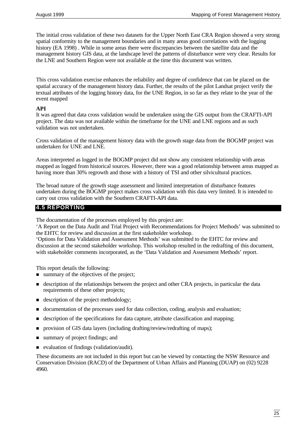The initial cross validation of these two datasets for the Upper North East CRA Region showed a very strong spatial conformity to the management boundaries and in many areas good correlations with the logging history (EA 1998) . While in some areas there were discrepancies between the satellite data and the management history GIS data, at the landscape level the patterns of disturbance were very clear. Results for the LNE and Southern Region were not available at the time this document was written.

This cross validation exercise enhances the reliability and degree of confidence that can be placed on the spatial accuracy of the management history data. Further, the results of the pilot Landsat project verify the textual attributes of the logging history data, for the UNE Region, in so far as they relate to the year of the event mapped

#### **API**

It was agreed that data cross validation would be undertaken using the GIS output from the CRAFTI-API project. The data was not available within the timeframe for the UNE and LNE regions and as such validation was not undertaken.

Cross validation of the management history data with the growth stage data from the BOGMP project was undertaken for UNE and LNE.

Areas interpreted as logged in the BOGMP project did not show any consistent relationship with areas mapped as logged from historical sources. However, there was a good relationship between areas mapped as having more than 30% regrowth and those with a history of TSI and other silvicultural practices.

The broad nature of the growth stage assessment and limited interpretation of disturbance features undertaken during the BOGMP project makes cross validation with this data very limited. It is intended to carry out cross validation with the Southern CRAFTI-API data.

# **4.5 REPORTING**

The documentation of the processes employed by this project are:

'A Report on the Data Audit and Trial Project with Recommendations for Project Methods' was submitted to the EHTC for review and discussion at the first stakeholder workshop.

'Options for Data Validation and Assessment Methods' was submitted to the EHTC for review and discussion at the second stakeholder workshop. This workshop resulted in the redrafting of this document, with stakeholder comments incorporated, as the 'Data Validation and Assessment Methods' report.

This report details the following:

- $\blacksquare$  summary of the objectives of the project;
- n description of the relationships between the project and other CRA projects, in particular the data requirements of these other projects;
- $\blacksquare$  description of the project methodology;
- n documentation of the processes used for data collection, coding, analysis and evaluation;
- n description of the specifications for data capture, attribute classification and mapping;
- n provision of GIS data layers (including drafting/review/redrafting of maps);
- summary of project findings; and
- $\blacksquare$  evaluation of findings (validation/audit).

These documents are not included in this report but can be viewed by contacting the NSW Resource and Conservation Division (RACD) of the Department of Urban Affairs and Planning (DUAP) on (02) 9228 4960.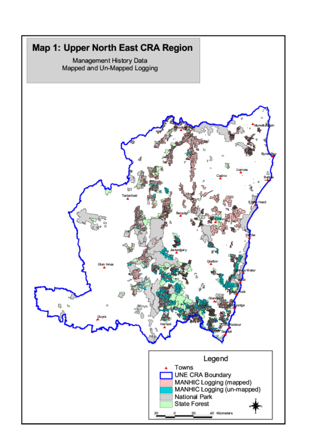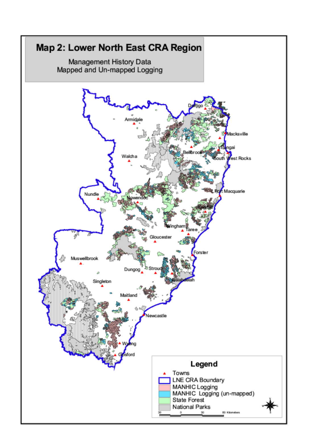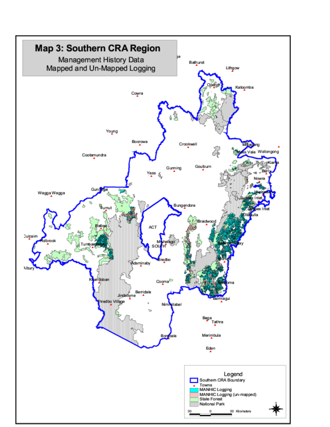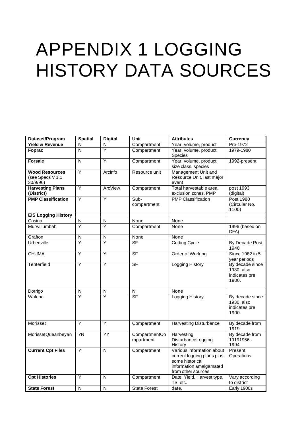# APPENDIX 1 LOGGING HISTORY DATA SOURCES

| Dataset/Program                                      | <b>Spatial</b>          | <b>Digital</b>          | Unit                              | <b>Attributes</b>                                                                                                           | <b>Currency</b>                                         |
|------------------------------------------------------|-------------------------|-------------------------|-----------------------------------|-----------------------------------------------------------------------------------------------------------------------------|---------------------------------------------------------|
| <b>Yield &amp; Revenue</b>                           | N                       | N                       | Compartment                       | Year, volume, product                                                                                                       | Pre-1972                                                |
| Foprac                                               | $\overline{\mathsf{N}}$ | $\overline{Y}$          | Compartment                       | Year, volume, product,<br>Species                                                                                           | 1979-1980                                               |
| <b>Forsale</b>                                       | N                       | Y                       | Compartment                       | Year, volume, product,<br>size class, species                                                                               | 1992-present                                            |
| <b>Wood Resources</b><br>(see Specs V 1.1<br>30/9/96 | Ÿ                       | ArcInfo                 | Resource unit                     | Management Unit and<br>Resource Unit, last major<br>event                                                                   |                                                         |
| <b>Harvesting Plans</b><br>(District)                | $\overline{Y}$          | ArcView                 | Compartment                       | Total harvestable area,<br>exclusion zones, PMP                                                                             | post 1993<br>(digital)                                  |
| <b>PMP Classification</b>                            | $\overline{Y}$          | Y                       | Sub-<br>compartment               | <b>PMP Classification</b>                                                                                                   | <b>Post 1980</b><br>(Circular No.<br>1100)              |
| <b>EIS Logging History</b>                           |                         |                         |                                   |                                                                                                                             |                                                         |
| Casino                                               | ${\sf N}$               | ${\sf N}$               | None                              | None                                                                                                                        |                                                         |
| Murwillumbah                                         | $\overline{\mathsf{Y}}$ | Ÿ                       | Compartment                       | None                                                                                                                        | 1996 (based on<br>DFA)                                  |
| Grafton                                              | $\overline{\mathsf{N}}$ | $\overline{\mathsf{N}}$ | None                              | None                                                                                                                        |                                                         |
| Urbenville                                           | Y                       | Y                       | $\overline{\mathsf{SF}}$          | <b>Cutting Cycle</b>                                                                                                        | By Decade Post<br>1940                                  |
| <b>CHUMA</b>                                         | Ÿ                       | $\overline{Y}$          | $S$ F                             | Order of Working                                                                                                            | Since 1982 in 5<br>year periods                         |
| Tenterfield                                          | Y                       | Ϋ                       | $\overline{\mathsf{S}\mathsf{F}}$ | <b>Logging History</b>                                                                                                      | By decade since<br>1930, also<br>indicates pre<br>1900. |
| Dorrigo                                              | N                       | $\overline{\mathsf{N}}$ | N                                 | None                                                                                                                        |                                                         |
| Walcha                                               | Y                       | Ÿ                       | $\overline{\mathsf{SF}}$          | <b>Logging History</b>                                                                                                      | By decade since<br>1930, also<br>indicates pre<br>1900. |
| Morisset                                             | $\overline{Y}$          | $\overline{Y}$          | Compartment                       | <b>Harvesting Disturbance</b>                                                                                               | By decade from<br>1919                                  |
| MorissetQueanbeyan                                   | YN                      | YY                      | CompartmentCo<br>mpartment        | Harvesting<br>DisturbanceLogging<br>History                                                                                 | By decade from<br>19191956 -<br>1994                    |
| <b>Current Cpt Files</b>                             | Y                       | N                       | Compartment                       | Various information about<br>current logging plans plus<br>some historical<br>information amalgamated<br>from other sources | Present<br>Operations                                   |
| <b>Cpt Histories</b>                                 | Y                       | N                       | Compartment                       | Date, Yield, Harvest type,<br>TSI etc.                                                                                      | Vary according<br>to district                           |
| <b>State Forest</b>                                  | N                       | N                       | <b>State Forest</b>               | date,                                                                                                                       | Early 1900s                                             |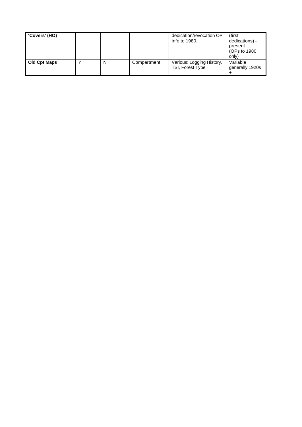| 'Covers' (HO)       |   |             | dedication/revocation OP<br>info to 1980.     | (first<br>dedications) -<br>present<br>(OPs to 1980)<br>only) |
|---------------------|---|-------------|-----------------------------------------------|---------------------------------------------------------------|
| <b>Old Cpt Maps</b> | N | Compartment | Various: Logging History,<br>TSI, Forest Type | Variable<br>generally 1920s                                   |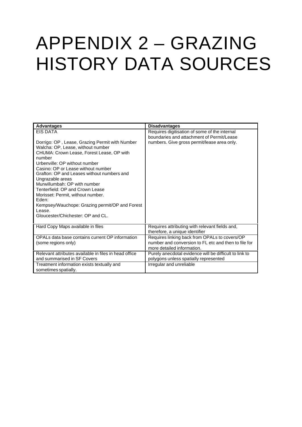# APPENDIX 2 – GRAZING HISTORY DATA SOURCES

| <b>Advantages</b>                                                                                                                                                                                                                                                                                                                                                                                                                                                                                                 | <b>Disadvantages</b>                                                                                                                      |
|-------------------------------------------------------------------------------------------------------------------------------------------------------------------------------------------------------------------------------------------------------------------------------------------------------------------------------------------------------------------------------------------------------------------------------------------------------------------------------------------------------------------|-------------------------------------------------------------------------------------------------------------------------------------------|
| EIS DATA<br>Dorrigo: OP, Lease, Grazing Permit with Number<br>Walcha: OP, Lease, without number<br>CHUMA: Crown Lease, Forest Lease, OP with<br>number<br>Urbenville: OP without number<br>Casino: OP or Lease without number<br>Grafton: OP and Leases without numbers and<br>Ungrazable areas<br>Murwillumbah: OP with number<br>Tenterfield: OP and Crown Lease<br>Morisset: Permit, without number.<br>Eden:<br>Kempsey/Wauchope: Grazing permit/OP and Forest<br>Lease.<br>Gloucester/Chichester: OP and CL. | Requires digitisation of some of the internal<br>boundaries and attachment of Permit/Lease<br>numbers. Give gross permit/lease area only. |
| Hard Copy Maps available in files                                                                                                                                                                                                                                                                                                                                                                                                                                                                                 | Requires attributing with relevant fields and,<br>therefore, a unique identifier                                                          |
| OPALs data base contains current OP information<br>(some regions only)                                                                                                                                                                                                                                                                                                                                                                                                                                            | Requires linking back from OPALs to covers/OP<br>number and conversion to FL etc and then to file for<br>more detailed information.       |
| Relevant attributes available in files in head office<br>and summarised in SF Covers                                                                                                                                                                                                                                                                                                                                                                                                                              | Purely anecdotal evidence will be difficult to link to<br>polygons unless spatially represented                                           |
| Treatment information exists textually and<br>sometimes spatially.                                                                                                                                                                                                                                                                                                                                                                                                                                                | Irregular and unreliable                                                                                                                  |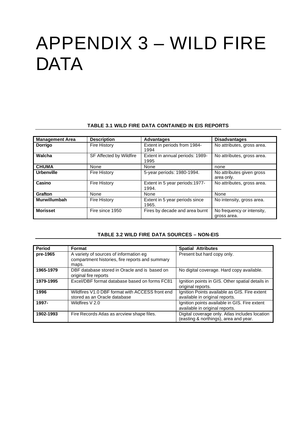# APPENDIX 3 – WILD FIRE **DATA**

#### **TABLE 3.1 WILD FIRE DATA CONTAINED IN EIS REPORTS**

| <b>Management Area</b> | <b>Description</b>      | <b>Advantages</b>                       | <b>Disadvantages</b>                      |
|------------------------|-------------------------|-----------------------------------------|-------------------------------------------|
| <b>Dorrigo</b>         | <b>Fire History</b>     | Extent in periods from 1984-<br>1994    | No attributes, gross area.                |
| Walcha                 | SF Affected by Wildfire | Extent in annual periods: 1989-<br>1995 | No attributes, gross area.                |
| <b>CHUMA</b>           | None                    | None                                    | none                                      |
| <b>Urbenville</b>      | <b>Fire History</b>     | 5-year periods: 1980-1994.              | No attributes given gross<br>area only.   |
| Casino                 | <b>Fire History</b>     | Extent in 5 year periods:1977-<br>1994. | No attributes, gross area.                |
| <b>Grafton</b>         | None                    | None                                    | None                                      |
| Murwillumbah           | <b>Fire History</b>     | Extent in 5 year periods since<br>1965. | No intensity, gross area.                 |
| <b>Morisset</b>        | Fire since 1950         | Fires by decade and area burnt          | No frequency or intensity,<br>gross area. |

#### **TABLE 3.2 WILD FIRE DATA SOURCES – NON-EIS**

| <b>Period</b> | Format                                                                                             | <b>Spatial Attributes</b>                                                               |
|---------------|----------------------------------------------------------------------------------------------------|-----------------------------------------------------------------------------------------|
| pre-1965      | A variety of sources of information eg<br>compartment histories, fire reports and summary<br>maps. | Present but hard copy only.                                                             |
| 1965-1979     | DBF database stored in Oracle and is based on<br>original fire reports                             | No digital coverage. Hard copy available.                                               |
| 1979-1995     | Excel/DBF format database based on forms FC81                                                      | Ignition points in GIS. Other spatial details in<br>original reports.                   |
| 1996          | Wildfires V1.0 DBF format with ACCESS front end<br>stored as an Oracle database                    | Ignition Points available as GIS. Fire extent<br>available in original reports.         |
| 1997-         | Wildfires V 2.0                                                                                    | Ignition points available in GIS. Fire extent<br>available in original reports.         |
| 1902-1993     | Fire Records Atlas as arcview shape files.                                                         | Digital coverage only. Atlas includes location<br>(easting & northings), area and year. |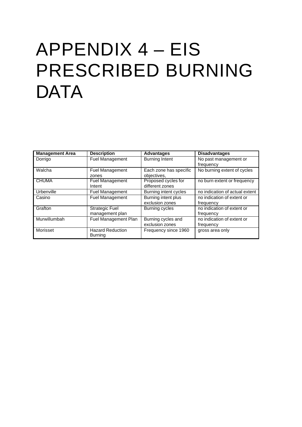# APPENDIX 4 – EIS PRESCRIBED BURNING **DATA**

| <b>Management Area</b> | <b>Description</b>      | <b>Advantages</b>      | <b>Disadvantages</b>           |
|------------------------|-------------------------|------------------------|--------------------------------|
| Dorrigo                | <b>Fuel Management</b>  | <b>Burning Intent</b>  | No past management or          |
|                        |                         |                        | frequency                      |
|                        |                         |                        |                                |
| Walcha                 | <b>Fuel Management</b>  | Each zone has specific | No burning extent of cycles    |
|                        | zones                   | objectives,            |                                |
| <b>CHUMA</b>           | Fuel Management         | Proposed cycles for    | no burn extent or frequency    |
|                        | Intent                  | different zones        |                                |
| Urbenville             | <b>Fuel Management</b>  | Burning intent cycles  | no indication of actual extent |
| Casino                 | <b>Fuel Management</b>  | Burning intent plus    | no indication of extent or     |
|                        |                         | exclusion zones        | frequency                      |
| Grafton                | <b>Strategic Fuel</b>   | Burning cycles         | no indication of extent or     |
|                        | management plan         |                        | frequency                      |
| Murwillumbah           | Fuel Management Plan    | Burning cycles and     | no indication of extent or     |
|                        |                         | exclusion zones        | frequency                      |
| Morisset               | <b>Hazard Reduction</b> | Frequency since 1960   | gross area only                |
|                        | <b>Burning</b>          |                        |                                |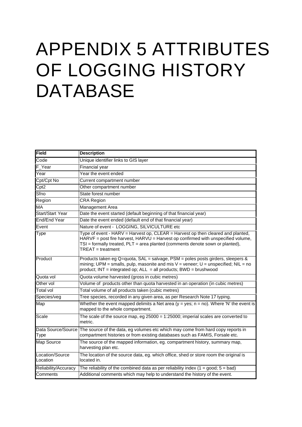# APPENDIX 5 ATTRIBUTES OF LOGGING HISTORY DATABASE

| Field                       | <b>Description</b>                                                                                                                                                                                                                                                                  |
|-----------------------------|-------------------------------------------------------------------------------------------------------------------------------------------------------------------------------------------------------------------------------------------------------------------------------------|
| $\overline{\text{Code}}$    | Unique identifier links to GIS layer                                                                                                                                                                                                                                                |
| F Year                      | Financial year                                                                                                                                                                                                                                                                      |
| Year                        | Year the event ended                                                                                                                                                                                                                                                                |
| Cpt/Cpt No                  | Current compartment number                                                                                                                                                                                                                                                          |
| Cpt2                        | Other compartment number                                                                                                                                                                                                                                                            |
| Sfno                        | State forest number                                                                                                                                                                                                                                                                 |
| Region                      | <b>CRA Region</b>                                                                                                                                                                                                                                                                   |
| MA                          | Management Area                                                                                                                                                                                                                                                                     |
| Start/Start Year            | Date the event started (default beginning of that financial year)                                                                                                                                                                                                                   |
| End/End Year                | Date the event ended (default end of that financial year)                                                                                                                                                                                                                           |
| Event                       | Nature of event - LOGGING, SILVICULTURE etc                                                                                                                                                                                                                                         |
| Type                        | Type of event - HARV = Harvest op, CLEAR = Harvest op then cleared and planted,<br>$HARYF = post$ fire harvest, $HARYU = Haryest$ op confirmed with unspecified volume,<br>$TSI =$ formally treated, $PLT =$ area planted (comments denote sown or planted),<br>$TREAT = treatment$ |
| Product                     | Products taken eg Q=quota, SAL = salvage, PSM = poles posts girders, sleepers &<br>mining; UPM = smalls, pulp, masonite and mis $V =$ veneer; U = unspecified; NIL = no<br>product; $INT = integrated op$ ; $ALL = all products$ ; $BWD = brushwood$                                |
| Quota vol                   | Quota volume harvested (gross in cubic metres)                                                                                                                                                                                                                                      |
| Other vol                   | Volume of products other than quota harvested in an operation (in cubic metres)                                                                                                                                                                                                     |
| Total vol                   | Total volume of all products taken (cubic metres)                                                                                                                                                                                                                                   |
| Species/veg                 | Tree species, recorded in any given area, as per Research Note 17 typing.                                                                                                                                                                                                           |
| Map                         | Whether the event mapped delimits a Net area ( $y = yes$ ; n = no). Where 'N' the event is<br>mapped to the whole compartment.                                                                                                                                                      |
| Scale                       | The scale of the source map, eg $25000 = 1:25000$ ; imperial scales are converted to<br>metric.                                                                                                                                                                                     |
| Type                        | Data Source/Source The source of the data, eg volumes etc which may come from hard copy reports in<br>compartment histories or from existing databases such as FAMIS, Forsale etc.                                                                                                  |
| Map Source                  | The source of the mapped information, eg. compartment history, summary map,<br>harvesting plan etc.                                                                                                                                                                                 |
| Location/Source<br>Location | The location of the source data, eg. which office, shed or store room the original is<br>located in.                                                                                                                                                                                |
| Reliability/Accuracy        | The reliability of the combined data as per reliability index $(1 = good; 5 = bad)$                                                                                                                                                                                                 |
| Comments                    | Additional comments which may help to understand the history of the event.                                                                                                                                                                                                          |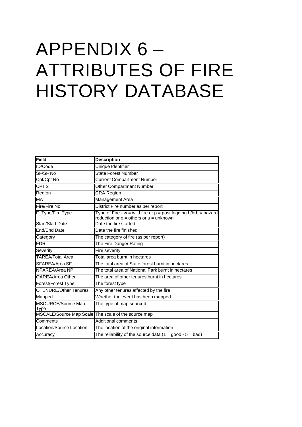# APPENDIX 6 – ATTRIBUTES OF FIRE HISTORY DATABASE

| Field                        | <b>Description</b>                                                                                                |
|------------------------------|-------------------------------------------------------------------------------------------------------------------|
| ID/Code                      | Unique Identifier                                                                                                 |
| SF/SF No                     | <b>State Forest Number</b>                                                                                        |
| Cpt/Cpt No                   | <b>Current Compartment Number</b>                                                                                 |
| CPT <sub>2</sub>             | <b>Other Compartment Number</b>                                                                                   |
| Region                       | CRA Region                                                                                                        |
| MA                           | Management Area                                                                                                   |
| <b>Fire/Fire No</b>          | District Fire number as per report                                                                                |
| F_Type/Fire Type             | Type of Fire - $w =$ wild fire or $p =$ post logging h/hrb = hazard<br>reduction or $o =$ others or $u =$ unknown |
| <b>Start/Start Date</b>      | Date the fire started                                                                                             |
| <b>End/End Date</b>          | Date the fire finished                                                                                            |
| Category                     | The category of fire (as per report)                                                                              |
| <b>FDR</b>                   | The Fire Danger Rating                                                                                            |
| Severity                     | Fire severity                                                                                                     |
| <b>TAREA/Total Area</b>      | Total area burnt in hectares                                                                                      |
| SFAREA/Area SF               | The total area of State forest burnt in hectares                                                                  |
| NPAREA/Area NP               | The total area of National Park burnt in hectares                                                                 |
| <b>OAREA/Area Other</b>      | The area of other tenures burnt in hectares                                                                       |
| Forest/Forest Type           | The forest type                                                                                                   |
| <b>OTENURE/Other Tenures</b> | Any other tenures affected by the fire                                                                            |
| Mapped                       | Whether the event has been mapped                                                                                 |
| MSOURCE/Source Map<br>Type   | The type of map sourced                                                                                           |
|                              | MSCALE/Source Map Scale The scale of the source map                                                               |
| Comments                     | <b>Additional comments</b>                                                                                        |
| Location/Source Location     | The location of the original information                                                                          |
| Accuracy                     | The reliability of the source data $(1 = good - 5 = bad)$                                                         |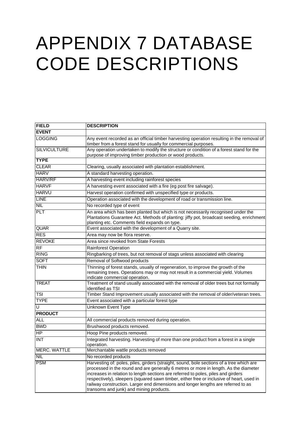# APPENDIX 7 DATABASE CODE DESCRIPTIONS

| <b>FIELD</b>             | <b>DESCRIPTION</b>                                                                                                                                                                                                                                                                                                                                                                                                                                                                                |
|--------------------------|---------------------------------------------------------------------------------------------------------------------------------------------------------------------------------------------------------------------------------------------------------------------------------------------------------------------------------------------------------------------------------------------------------------------------------------------------------------------------------------------------|
| <b>EVENT</b>             |                                                                                                                                                                                                                                                                                                                                                                                                                                                                                                   |
| <b>LOGGING</b>           | Any event recorded as an official timber harvesting operation resulting in the removal of<br>timber from a forest stand for usually for commercial purposes.                                                                                                                                                                                                                                                                                                                                      |
| <b>SILVICULTURE</b>      | Any operation undertaken to modify the structure or condition of a forest stand for the<br>purpose of improving timber production or wood products.                                                                                                                                                                                                                                                                                                                                               |
| <b>TYPE</b>              |                                                                                                                                                                                                                                                                                                                                                                                                                                                                                                   |
| <b>CLEAR</b>             | Clearing, usually associated with plantation establishment.                                                                                                                                                                                                                                                                                                                                                                                                                                       |
| <b>HARV</b>              | A standard harvesting operation.                                                                                                                                                                                                                                                                                                                                                                                                                                                                  |
| <b>HARV/RF</b>           | A harvesting event including rainforest species                                                                                                                                                                                                                                                                                                                                                                                                                                                   |
| <b>HARVF</b>             | A harvesting event associated with a fire (eg post fire salvage).                                                                                                                                                                                                                                                                                                                                                                                                                                 |
| <b>HARVU</b>             | Harvest operation confirmed with unspecified type or products.                                                                                                                                                                                                                                                                                                                                                                                                                                    |
| <b>LINE</b>              | Operation associated with the development of road or transmission line.                                                                                                                                                                                                                                                                                                                                                                                                                           |
| <b>NIL</b>               | No recorded type of event                                                                                                                                                                                                                                                                                                                                                                                                                                                                         |
| <b>PLT</b>               | An area which has been planted but which is not necessarily recognised under the<br>Plantations Guarantee Act. Methods of planting: jiffy pot, broadcast seeding, enrichment<br>planting etc. Comments field expands on type.                                                                                                                                                                                                                                                                     |
| <b>QUAR</b>              | Event associated with the development of a Quarry site.                                                                                                                                                                                                                                                                                                                                                                                                                                           |
| <b>RES</b>               | Area may now be flora reserve.                                                                                                                                                                                                                                                                                                                                                                                                                                                                    |
| <b>REVOKE</b>            | Area since revoked from State Forests                                                                                                                                                                                                                                                                                                                                                                                                                                                             |
| <b>RF</b>                | <b>Rainforest Operation</b>                                                                                                                                                                                                                                                                                                                                                                                                                                                                       |
| <b>RING</b>              | Ringbarking of trees, but not removal of stags unless associated with clearing                                                                                                                                                                                                                                                                                                                                                                                                                    |
| <b>SOFT</b>              | Removal of Softwood products                                                                                                                                                                                                                                                                                                                                                                                                                                                                      |
| <b>THIN</b>              | Thinning of forest stands, usually of regeneration, to improve the growth of the<br>remaining trees. Operations may or may not result in a commercial yield. Volumes<br>indicate commercial operation.                                                                                                                                                                                                                                                                                            |
| <b>TREAT</b>             | Treatment of stand usually associated with the removal of older trees but not formally<br>identified as TSI                                                                                                                                                                                                                                                                                                                                                                                       |
| <b>TSI</b>               | Timber Stand Improvement usually associated with the removal of older/veteran trees.                                                                                                                                                                                                                                                                                                                                                                                                              |
| <b>TYPE</b>              | Event associated with a particular forest type                                                                                                                                                                                                                                                                                                                                                                                                                                                    |
| ঢ                        | Unknown Event Type                                                                                                                                                                                                                                                                                                                                                                                                                                                                                |
| <b>PRODUCT</b>           |                                                                                                                                                                                                                                                                                                                                                                                                                                                                                                   |
| <b>ALL</b>               | All commercial products removed during operation.                                                                                                                                                                                                                                                                                                                                                                                                                                                 |
| <b>BWD</b>               | Brushwood products removed.                                                                                                                                                                                                                                                                                                                                                                                                                                                                       |
| $\overline{\mathsf{HP}}$ | Hoop Pine products removed.                                                                                                                                                                                                                                                                                                                                                                                                                                                                       |
| <b>INT</b>               | Integrated harvesting. Harvesting of more than one product from a forest in a single<br>operation.                                                                                                                                                                                                                                                                                                                                                                                                |
| <b>MERC. WATTLE</b>      | Merchantable wattle products removed                                                                                                                                                                                                                                                                                                                                                                                                                                                              |
| <b>NIL</b>               | No recorded products                                                                                                                                                                                                                                                                                                                                                                                                                                                                              |
| <b>PSM</b>               | Harvesting of: poles, piles, girders (straight, sound, bole sections of a tree which are<br>processed in the round and are generally 6 metres or more in length. As the diameter<br>increases in relation to length sections are referred to poles, piles and girders<br>respectively), sleepers (squared sawn timber, either free or inclusive of heart, used in<br>railway construction. Larger end dimensions and longer lengths are referred to as<br>transoms and junk) and mining products. |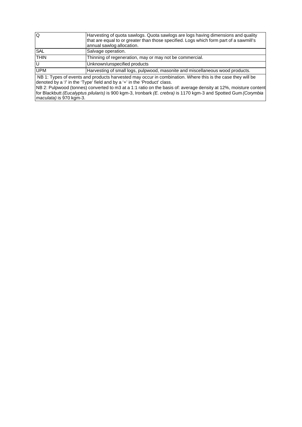| lQ          | Harvesting of quota sawlogs. Quota sawlogs are logs having dimensions and quality<br>that are equal to or greater than those specified. Logs which form part of a sawmill's<br>annual sawlog allocation. |
|-------------|----------------------------------------------------------------------------------------------------------------------------------------------------------------------------------------------------------|
| <b>SAL</b>  | Salvage operation.                                                                                                                                                                                       |
| <b>THIN</b> | Thinning of regeneration, may or may not be commercial.                                                                                                                                                  |
| lU          | Unknown/unspecified products                                                                                                                                                                             |
| <b>UPM</b>  | Harvesting of small logs, pulpwood, masonite and miscellaneous wood products.                                                                                                                            |
| $\cdots$    | $\mathbf{r}$ , and $\mathbf{r}$ , and $\mathbf{r}$ , and $\mathbf{r}$ , and $\mathbf{r}$ , and $\mathbf{r}$ , and $\mathbf{r}$<br>.                                                                      |

 NB 1: Types of events and products harvested may occur in combination. Where this is the case they will be denoted by a '/' in the 'Type' field and by a '+' in the 'Product' class.

NB 2: Pulpwood (tonnes) converted to m3 at a 1:1 ratio on the basis of: average density at 12%, moisture content for Blackbutt *(Eucalyptus pilularis)* is 900 kgm-3, Ironbark *(E. crebra)* is 1170 kgm-3 and Spotted Gum *(Corymbia maculata)* is 970 kgm-3.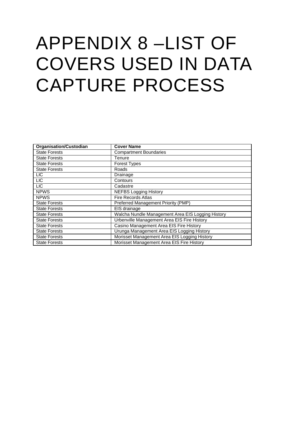# APPENDIX 8 –LIST OF COVERS USED IN DATA CAPTURE PROCESS

| <b>Organisation/Custodian</b> | <b>Cover Name</b>                                 |
|-------------------------------|---------------------------------------------------|
| <b>State Forests</b>          | <b>Compartment Boundaries</b>                     |
| <b>State Forests</b>          | Tenure                                            |
| <b>State Forests</b>          | <b>Forest Types</b>                               |
| <b>State Forests</b>          | Roads                                             |
| <b>LIC</b>                    | Drainage                                          |
| <b>LIC</b>                    | Contours                                          |
| <b>LIC</b>                    | Cadastre                                          |
| <b>NPWS</b>                   | <b>NEFBS Logging History</b>                      |
| <b>NPWS</b>                   | <b>Fire Records Atlas</b>                         |
| <b>State Forests</b>          | Preferred Management Priority (PMP)               |
| <b>State Forests</b>          | EIS drainage                                      |
| <b>State Forests</b>          | Walcha Nundle Management Area EIS Logging History |
| <b>State Forests</b>          | Urbenville Management Area EIS Fire History       |
| <b>State Forests</b>          | Casino Management Area EIS Fire History           |
| <b>State Forests</b>          | Urunga Management Area EIS Logging History        |
| <b>State Forests</b>          | Morisset Management Area EIS Logging History      |
| <b>State Forests</b>          | Morisset Management Area EIS Fire History         |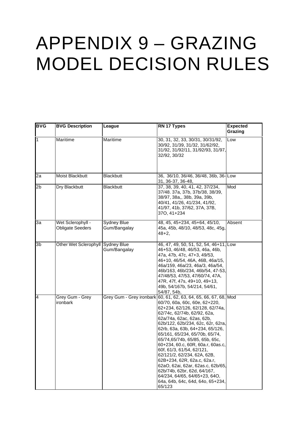# APPENDIX 9 – GRAZING MODEL DECISION RULES

| <b>BVG</b> | <b>BVG Description</b>                | League                             | RN 17 Types                                                                                                                                                                                                                                                                                                                                                                                                                                                                                                                                                                                                                     | <b>Expected</b><br>Grazing |
|------------|---------------------------------------|------------------------------------|---------------------------------------------------------------------------------------------------------------------------------------------------------------------------------------------------------------------------------------------------------------------------------------------------------------------------------------------------------------------------------------------------------------------------------------------------------------------------------------------------------------------------------------------------------------------------------------------------------------------------------|----------------------------|
| 1          | Maritime                              | Maritime                           | 30, 31, 32, 33, 30/31, 30/31/92,<br>30/92, 31/39, 31/32, 31/62/92,<br>31/92, 31/92/11, 31/92/93, 31/97,<br>32/92, 30/32                                                                                                                                                                                                                                                                                                                                                                                                                                                                                                         | Low                        |
| 2a         | Moist Blackbutt                       | <b>Blackbutt</b>                   | 36, 36/10, 36/46, 36/48, 36b, 36-Low<br>31, 36-37, 36-48,                                                                                                                                                                                                                                                                                                                                                                                                                                                                                                                                                                       |                            |
| 2b         | Dry Blackbutt                         | <b>Blackbutt</b>                   | 37, 38, 39, 40, 41, 42, 37/234,<br>37/48. 37a, 37b, 37b/38, 38/39,<br>38/97, 38a,, 38b, 39a, 39b,<br>40/41, 41/26, 41/234, 41/92,<br>41/97, 41b, 37/62, 37A, 37B,<br>370, 41+234                                                                                                                                                                                                                                                                                                                                                                                                                                                | Mod                        |
| За         | Wet Sclerophyll -<br>Obligate Seeders | <b>Sydney Blue</b><br>Gum/Bangalay | 48, 45, 45+234, 45+64, 45/10,<br>45a, 45b, 48/10, 48/53, 48c, 45g,<br>$48 + 2$                                                                                                                                                                                                                                                                                                                                                                                                                                                                                                                                                  | Absent                     |
| 3b         | Other Wet Sclerophyll Sydney Blue     | Gum/Bangalay                       | 46, 47, 49, 50, 51, 52, 54, 46+11, Low<br>46+53, 46/48, 46/53, 46a, 46b,<br>47a, 47b, 47c, 47+3, 49/53,<br>46+10, 46/54, 46A, 46B, 46a/15,<br>46a/159, 46a/23, 46a/3, 46a/54,<br>46b/163, 46b/234, 46b/54, 47-53,<br>47/48/53, 47/53, 47/60/74, 47A,<br>47R, 47f, 47s, 49+10, 49+13,<br>49b, 54/167b, 54/214, 54/61,<br>54/87, 54b,                                                                                                                                                                                                                                                                                             |                            |
| 4          | Grey Gum - Grey<br>ironbark           |                                    | Grey Gum - Grey ironbark 60, 61, 62, 63, 64, 65, 66, 67, 68, Mod<br>60/70, 60a, 60c, 60e, 62+220,<br>62+234, 62/126, 62/128, 62/74a,<br>62/74c, 62/74b, 62/92, 62a,<br>62a/74a, 62ac, 62as, 62b,<br>62b/122, 62b/234, 62c, 62r, 62ra,<br>62rb, 63a, 63b, 64+234, 65/126,<br>65/161, 65/234, 65/70b, 65/74,<br>65/74,65/74b, 65/85, 65b, 65c,<br>60+234, 60.c, 60R, 60a.r, 60as.c,<br>60f, 61/3, 61/54, 62/121,<br>62/121/2, 62/234, 62A, 62B,<br>62B+234, 62R, 62a.c, 62a.r,<br>62aO, 62ai, 62ar, 62as.c, 62b/65,<br>62b/74b, 62br, 62d, 64/167,<br>64/234, 64/65, 64/65+23, 640,<br>64a, 64b, 64c, 64d, 64o, 65+234,<br>65/123 |                            |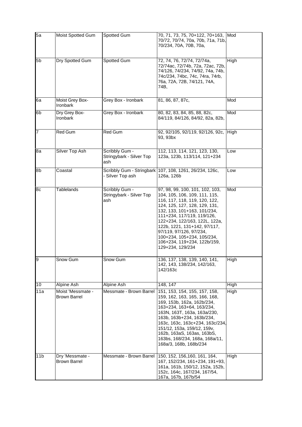| 5a              | Moist Spotted Gum                        | Spotted Gum                                       | 70, 71, 73, 75, 70+122, 70+163,<br>70/72, 70/74, 70a, 70b, 71a, 71b,<br>70/234, 70A, 70B, 70a,                                                                                                                                                                                                                                                                               | Mod         |
|-----------------|------------------------------------------|---------------------------------------------------|------------------------------------------------------------------------------------------------------------------------------------------------------------------------------------------------------------------------------------------------------------------------------------------------------------------------------------------------------------------------------|-------------|
| 5 <sub>b</sub>  | Dry Spotted Gum                          | <b>Spotted Gum</b>                                | 72, 74, 76, 72/74, 72/74a,<br>72/74ac, 72/74b, 72a, 72ac, 72b,<br>74/126, 74/234, 74/92, 74a, 74b,<br>74c/234, 74bc, 74c, 74ra, 74rb,<br>76a, 72A, 72B, 74/121, 74A,<br>74B,                                                                                                                                                                                                 | High        |
| 6a              | Moist Grey Box-<br>Ironbark              | Grey Box - Ironbark                               | 81, 86, 87, 87c,                                                                                                                                                                                                                                                                                                                                                             | Mod         |
| 6b              | Dry Grey Box-<br>Ironbark                | Grey Box - Ironbark                               | 80, 82, 83, 84, 85, 88, 82c,<br>84/119, 84/126, 84/92, 82a, 82b,                                                                                                                                                                                                                                                                                                             | Mod         |
| 7               | Red Gum                                  | Red Gum                                           | 92, 92/105, 92/119, 92/126, 92c,<br>93, 93bx                                                                                                                                                                                                                                                                                                                                 | High        |
| 8a              | <b>Silver Top Ash</b>                    | Scribbly Gum -<br>Stringybark - Silver Top<br>ash | 112, 113, 114, 121, 123, 130,<br>123a, 123b, 113/114, 121+234                                                                                                                                                                                                                                                                                                                | Low         |
| 8b              | Coastal                                  | Scribbly Gum - Stringbark<br>- Silver Top ash     | 107, 108, 1261, 26/234, 126c,<br>126a, 126b                                                                                                                                                                                                                                                                                                                                  | Low         |
| 8c              | <b>Tablelands</b>                        | Scribbly Gum -<br>Stringybark - Silver Top<br>ash | 97, 98, 99, 100, 101, 102, 103,<br>104, 105, 106, 109, 111, 115,<br>116, 117, 118, 119, 120, 122,<br>124, 125, 127, 128, 129, 131,<br>132, 133, 101+163, 101/234,<br>111+234, 117/119, 119/126,<br>122+234, 122/163, 122L, 122a,<br>122b, 1221, 131+142, 97/117,<br>97/119, 97/126, 97/234,<br>100+234, 105+234, 105/234,<br>106+234, 119+234, 122b/159,<br>129+234, 129/234 | Mod         |
| 9               | umٺ Snow                                 | umٺ Snow                                          | 136, 137, 138, 139, 140, 141,<br>142, 143, 138/234, 142/163,<br>142/163c                                                                                                                                                                                                                                                                                                     | High        |
| 10              | <b>Alpine Ash</b>                        | <b>Alpine Ash</b>                                 | 148, 147                                                                                                                                                                                                                                                                                                                                                                     | <b>High</b> |
| 11a             | Moist 'Messmate -<br><b>Brown Barrel</b> | Messmate - Brown Barrel                           | 151, 153, 154, 155, 157, 158,<br>159, 162, 163, 165, 166, 168,<br>169, 153b, 162a, 162b/234,<br>163+234, 163+64, 163/234,<br>163N, 163T, 163a, 163a/230,<br>163b, 163b+234, 163b/234,<br>163c, 163c, 163c+234, 163c/234,<br>151/12, 153a, 159/12, 159v,<br>162b, 163aS, 163as, 163bS,<br>163bs, 168/234, 168a, 168a/11,<br>168a/3, 168b, 168b/234                            | High        |
| 11 <sub>b</sub> | Dry 'Messmate -<br><b>Brown Barrel</b>   | Messmate - Brown Barrel                           | 150, 152, 156, 160, 161, 164,<br>167, 152/234, 161+234, 191+93,<br>161a, 161b, 150/12, 152a, 152b,<br>152c, 164c, 167/234, 167/54,<br>167a, 167b, 167b/54                                                                                                                                                                                                                    | High        |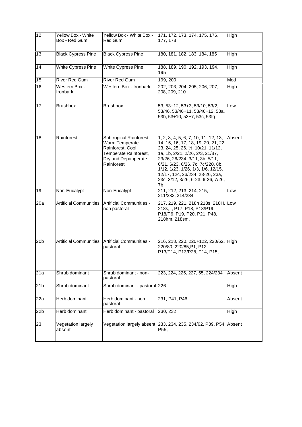| 12               | <b>Yellow Box - White</b><br>Box - Red Gum                                                                                                | Yellow Box - White Box -<br>Red Gum                                                                                                                                  | 171, 172, 173, 174, 175, 176,<br>High<br>177, 178                                                                                                                                                                                                                                                                                                            |             |
|------------------|-------------------------------------------------------------------------------------------------------------------------------------------|----------------------------------------------------------------------------------------------------------------------------------------------------------------------|--------------------------------------------------------------------------------------------------------------------------------------------------------------------------------------------------------------------------------------------------------------------------------------------------------------------------------------------------------------|-------------|
| 13               | <b>Black Cypress Pine</b>                                                                                                                 | <b>Black Cypress Pine</b>                                                                                                                                            | 180, 181, 182, 183, 184, 185<br>High                                                                                                                                                                                                                                                                                                                         |             |
| 14               | <b>White Cypress Pine</b>                                                                                                                 | <b>White Cypress Pine</b>                                                                                                                                            | 188, 189, 190, 192, 193, 194,<br>195                                                                                                                                                                                                                                                                                                                         | <b>High</b> |
| $\overline{15}$  | River Red Gum                                                                                                                             | <b>River Red Gum</b>                                                                                                                                                 | 199, 200                                                                                                                                                                                                                                                                                                                                                     | Mod         |
| 16               | <b>Western Box -</b><br>Ironbark                                                                                                          | Western Box - Ironbark<br>202, 203, 204, 205, 206, 207,<br>208, 209, 210                                                                                             |                                                                                                                                                                                                                                                                                                                                                              | High        |
| $\overline{17}$  | <b>Brushbox</b>                                                                                                                           | <b>Brushbox</b><br>53, 53+12, 53+3, 53/10, 53/2,<br>53/46, 53/46+11, 53/46+12, 53a,<br>53b, 53+10, 53+7, 53c, 53fg                                                   |                                                                                                                                                                                                                                                                                                                                                              | Low         |
| 18               | Rainforest<br>Subtropical Rainforest,<br>Warm Temperate<br>Rainforest, Cool<br>Temperate Rainforest,<br>Dry and Depauperate<br>Rainforest |                                                                                                                                                                      | 1, 2, 3, 4, 5, 6, 7, 10, 11, 12, 13,<br>14, 15, 16, 17, 18, 19, 20, 21, 22,<br>23, 24, 25, 26, 1/2, 10/21, 11/12,<br>1a, 1b, 2/21, 2/26, 2/3, 21/87,<br>23/26, 26/234, 3/11, 3b, 5/11,<br>6/21, 6/23, 6/26, 7c, 7c/220, 8b,<br>1/12, 1/23, 1/26, 1/3, 1/6, 12/15,<br>12/17, 12c, 23/234, 23-26, 23a,<br>23c, 3/12, 3/26, 6-23, 6-26, 7/26,<br>7 <sub>b</sub> | Absent      |
| 19               | Non-Eucalypt                                                                                                                              | Non-Eucalypt                                                                                                                                                         | 211, 212, 213, 214, 215,<br>211/233, 214/234                                                                                                                                                                                                                                                                                                                 | Low         |
| $\overline{20a}$ | <b>Artificial Communities</b>                                                                                                             | <b>Artificial Communities -</b><br>217, 219, 221, 218h 218s, 218H, Low<br>218s, , P17, P18, P18/P19,<br>non pastoral<br>P18/P6, P19, P20, P21, P48,<br>218hm, 218sm, |                                                                                                                                                                                                                                                                                                                                                              |             |
| 20 <sub>b</sub>  | <b>Artificial Communities</b>                                                                                                             | Artificial Communities -<br>216, 218, 220, 220+122, 220/62, High<br>220/80, 220/85, P1, P12,<br>pastoral<br>P13/P14, P13/P28, P14, P15,                              |                                                                                                                                                                                                                                                                                                                                                              |             |
| 21a              | Shrub dominant                                                                                                                            | Shrub dominant - non-<br>pastoral                                                                                                                                    | 223, 224, 225, 227, 55, 224/234                                                                                                                                                                                                                                                                                                                              | Absent      |
| 21b              | Shrub dominant                                                                                                                            | Shrub dominant - pastoral 226                                                                                                                                        |                                                                                                                                                                                                                                                                                                                                                              | High        |
| 22a              | Herb dominant                                                                                                                             | Herb dominant - non<br>pastoral                                                                                                                                      | 231, P41, P46                                                                                                                                                                                                                                                                                                                                                | Absent      |
| 22b              | Herb dominant                                                                                                                             | Herb dominant - pastoral                                                                                                                                             | 230, 232                                                                                                                                                                                                                                                                                                                                                     | <b>High</b> |
| $\overline{23}$  | <b>Vegetation largely</b><br>absent                                                                                                       | Vegetation largely absent                                                                                                                                            | 233, 234, 235, 234/62, P39, P54, Absent<br>P <sub>55</sub> ,                                                                                                                                                                                                                                                                                                 |             |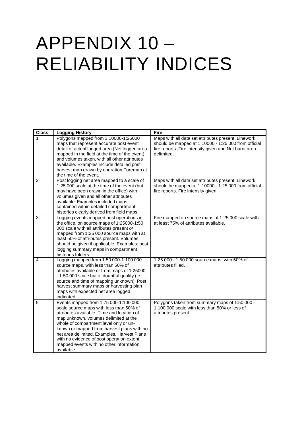# APPENDIX 10 – RELIABILITY INDICES

| <b>Class</b>   | <b>Logging History</b>                                                                                                                                                                                                                                                                                                                                                                                                | Fire                                                                                                                                                                               |
|----------------|-----------------------------------------------------------------------------------------------------------------------------------------------------------------------------------------------------------------------------------------------------------------------------------------------------------------------------------------------------------------------------------------------------------------------|------------------------------------------------------------------------------------------------------------------------------------------------------------------------------------|
| 1              | Polygons mapped from 1:10000-1:25000<br>maps that represent accurate post event<br>detail of actual logged area (Net logged area<br>mapped in the field at the time of the event)<br>and volumes taken, with all other attributes<br>available. Examples include detailed post<br>harvest map drawn by operation Foreman at<br>the time of the event.                                                                 | Maps with all data set attributes present. Linework<br>should be mapped at 1:10000 - 1:25 000 from official<br>fire reports. Fire intensity given and Net burnt area<br>delimited. |
| 2              | Post logging net area mapped to a scale of<br>1:25 000 scale at the time of the event (but<br>may have been drawn in the office) with<br>volumes given and all other attributes<br>available. Examples included maps<br>contained within detailed compartment<br>histories clearly derived from field maps.                                                                                                           | Maps with all data set attributes present. Linework<br>should be mapped at 1:10000 - 1:25 000 from official<br>fire reports. Fire intensity given.                                 |
| 3              | Logging events mapped post operations in<br>the office, on source maps of 1:25000-1:50<br>000 scale with all attributes present or<br>mapped from 1:25 000 source maps with at<br>least 50% of attributes present. Volumes<br>should be given if applicable. Examples: post<br>logging summary maps in compartment<br>histories folders.                                                                              | Fire mapped on source maps of 1:25 000 scale with<br>at least 75% of attributes available.                                                                                         |
| $\overline{4}$ | Logging mapped from 1:50 000-1:100 000<br>source maps, with less than 50% of<br>attributes available or from maps of 1:25000<br>- 1:50 000 scale but of doubtful quality (ie<br>source and time of mapping unknown). Post<br>harvest summary maps or harvesting plan<br>maps with expected net area logged<br>indicated.                                                                                              | 1:25 000 - 1:50 000 source maps, with 50% of<br>attributes filled.                                                                                                                 |
| 5              | Events mapped from 1:75 000-1:100 000<br>scale source maps with less than 50% of<br>attributes available. Time and location of<br>map unknown, volumes delimited at the<br>whole of compartment level only or un-<br>known or mapped from harvest plans with no<br>net area delimited. Examples, Harvest Plans<br>with no evidence of post operation extent,<br>mapped events with no other information<br>available. | Polygons taken from summary maps of 1:50 000 -<br>1:100 000 scale with less than 50% or less of<br>attributes present.                                                             |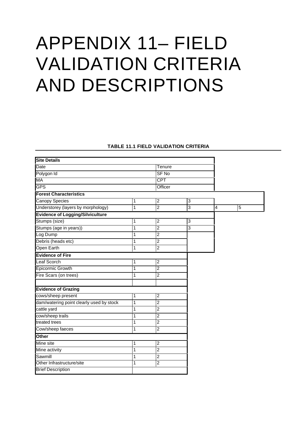# APPENDIX 11– FIELD VALIDATION CRITERIA AND DESCRIPTIONS

#### **TABLE 11.1 FIELD VALIDATION CRITERIA**

| <b>Site Details</b>                      |                |                         |   |                         |                |
|------------------------------------------|----------------|-------------------------|---|-------------------------|----------------|
| Date                                     |                | Tenure                  |   |                         |                |
| Polygon Id                               |                | SF <sub>No</sub>        |   |                         |                |
| МA                                       |                | <b>CPT</b>              |   |                         |                |
| <b>GPS</b>                               |                | Officer                 |   |                         |                |
| <b>Forest Characteristics</b>            |                |                         |   |                         |                |
| Canopy Species                           | 1              | 2                       | 3 |                         |                |
| Understorey (layers by morphology)       | $\overline{1}$ | $\overline{2}$          | 3 | $\overline{\mathbf{4}}$ | $\overline{5}$ |
| <b>Evidence of Logging/Silviculture</b>  |                |                         |   |                         |                |
| Stumps (size)                            | 1              | $\overline{\mathbf{c}}$ | 3 |                         |                |
| Stumps (age in years))                   | 1              | $\overline{2}$          | 3 |                         |                |
| Log Dump                                 | $\overline{1}$ | $\overline{2}$          |   |                         |                |
| Debris (heads etc)                       | 1              | $\overline{2}$          |   |                         |                |
| Open Earth                               | 1              | $\overline{2}$          |   |                         |                |
| <b>Evidence of Fire</b>                  |                |                         |   |                         |                |
| <b>Leaf Scorch</b>                       | 1              | $\overline{2}$          |   |                         |                |
| <b>Epicormic Growth</b>                  | 1              | $\overline{2}$          |   |                         |                |
| Fire Scars (on trees)                    | 1              | $\overline{2}$          |   |                         |                |
|                                          |                |                         |   |                         |                |
| <b>Evidence of Grazing</b>               |                |                         |   |                         |                |
| cows/sheep present                       | 1              | $\overline{2}$          |   |                         |                |
| dam/watering point clearly used by stock | 1              | $\overline{2}$          |   |                         |                |
| cattle yard                              | 1              | $\overline{2}$          |   |                         |                |
| cow/sheep trails                         | 1              | 2                       |   |                         |                |
| treated trees                            | 1              | $\overline{2}$          |   |                         |                |
| Cow/sheep faeces                         | 1              | $\overline{2}$          |   |                         |                |
| Other                                    |                |                         |   |                         |                |
| Mine site                                | 1              | $\boldsymbol{2}$        |   |                         |                |
| Mine activity                            | 1              | $\overline{2}$          |   |                         |                |
| Sawmill                                  | 1              | $\overline{2}$          |   |                         |                |
| Other Infrastructure/site                | 1              | 2                       |   |                         |                |
| <b>Brief Description</b>                 |                |                         |   |                         |                |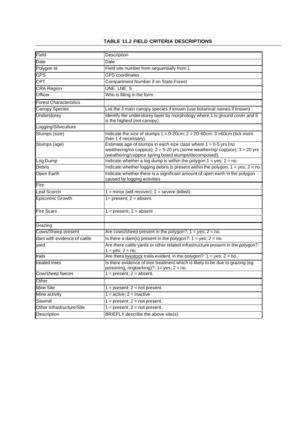#### **TABLE 11.2 FIELD CRITERIA DESCRIPTIONS**

| Field                         | Description                                                                                                                                                                                                  |  |
|-------------------------------|--------------------------------------------------------------------------------------------------------------------------------------------------------------------------------------------------------------|--|
| Date                          | Date                                                                                                                                                                                                         |  |
| Polygon Id                    | Field site number from sequentially from 1                                                                                                                                                                   |  |
| <b>GPS</b>                    | <b>GPS</b> coordinates                                                                                                                                                                                       |  |
| <b>CPT</b>                    | Compartment Number if on State Forest                                                                                                                                                                        |  |
| <b>CRA Region</b>             | UNE, LNE, S                                                                                                                                                                                                  |  |
| Officer                       | Who is filling in the form                                                                                                                                                                                   |  |
| <b>Forest Characteristics</b> |                                                                                                                                                                                                              |  |
| <b>Canopy Species</b>         | List the 3 main canopy species if known (use botanical names if known)                                                                                                                                       |  |
| <b>Understorey</b>            | Identify the understorey layer by morphology where 1 is ground cover and 5<br>is the highest (not canopy).                                                                                                   |  |
| Logging/Silviculture          |                                                                                                                                                                                                              |  |
| Stumps (size)                 | Indicate the size of stumps $1 = 0.20$ cm; $2 = 20.60$ cm; $3 > 60$ cm (tick more<br>than 1 if necessary).                                                                                                   |  |
| Stumps (age)                  | Estimate age of stumps in each size class where $1 = 0.5$ yrs (no<br>weathering/no coppice); $2 = 5-20$ yrs (some weathering/ coppice); $3 > 20$ yrs<br>(weathering/coppice spring board stumps/decomposed). |  |
| Log Dump                      | Indicate whether a log dump is within the polygon $1 = yes$ ; $2 = no$ .                                                                                                                                     |  |
| <b>Debris</b>                 | Indicate whether logging debris is present within the polygon, $1 = yes$ ; $2 = no$ .                                                                                                                        |  |
| <b>Open Earth</b>             | Indicate whether there is a significant amount of open earth in the polygon<br>caused by logging activities                                                                                                  |  |
| Fire                          |                                                                                                                                                                                                              |  |
| Leaf Scorch                   | $1 =$ minor (will recover); $2 =$ severe (killed).                                                                                                                                                           |  |
| Epicormic Growth              | $1 = present$ ; $2 = absent$ .                                                                                                                                                                               |  |
| <b>Fire Scars</b>             | $1 = present$ ; $2 = absent$                                                                                                                                                                                 |  |
| Grazing                       |                                                                                                                                                                                                              |  |
| Cows/Sheep present            | Are cows/sheep present in the polygon?: $1 = yes$ ; $2 = no$ .                                                                                                                                               |  |
| dam with evidence of cattle   | Is there a dam(s) present in the polygon?: $1 = yes$ ; $2 = no$ .                                                                                                                                            |  |
| yard                          | Are there cattle yards or other related infrastructure present in the polygon?:<br>$1 = yes$ ; $2 = no$ .                                                                                                    |  |
| trails                        | Are there livestock trails evident in the polygon?: $1 = yes$ ; $2 = no$ .                                                                                                                                   |  |
| treated trees                 | Is there evidence of tree treatment which is likely to be due to grazing (eg<br>poisoning, ringbarking)?: 1= yes; 2 = no.                                                                                    |  |
| Cow/sheep faeces              | $1 = present$ ; $2 = absent$ .                                                                                                                                                                               |  |
| Other                         |                                                                                                                                                                                                              |  |
| Mine Site                     | $1 = present$ ; $2 = not present$ .                                                                                                                                                                          |  |
| Mine activity                 | $1 = active$ ; $2 = inactive$                                                                                                                                                                                |  |
| Sawmill                       | $1 = present$ ; $2 = not present$ .                                                                                                                                                                          |  |
| Other Infrastructure/Site     | $1 = present$ ; $2 = not present$ .                                                                                                                                                                          |  |
| Description                   | BRIEFLY describe the above site(s).                                                                                                                                                                          |  |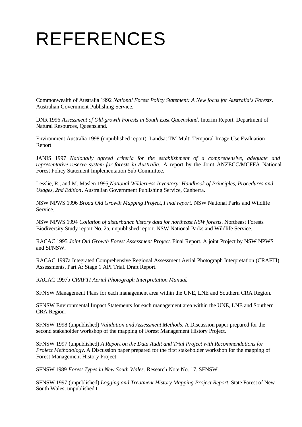# REFERENCES

Commonwealth of Australia 1992 *National Forest Policy Statement: A New focus for Australia's Forests*. Australian Government Publishing Service.

DNR 1996 *Assessment of Old-growth Forests in South East Queensland*. Interim Report. Department of Natural Resources, Queensland.

Environment Australia 1998 (unpublished report) Landsat TM Multi Temporal Image Use Evaluation Report

JANIS 1997 *Nationally agreed criteria for the establishment of a comprehensive, adequate and representative reserve system for forests in Australia.* A report by the Joint ANZECC/MCFFA National Forest Policy Statement Implementation Sub-Committee.

Lesslie, R., and M. Maslen 1995 *National Wilderness Inventory: Handbook of Principles, Procedures and Usages, 2nd Edition*. Australian Government Publishing Service, Canberra.

NSW NPWS 1996 *Broad Old Growth Mapping Project, Final report.* NSW National Parks and Wildlife Service.

NSW NPWS 1994 *Collation of disturbance history data for northeast NSW forests*. Northeast Forests Biodiversity Study report No. 2a, unpublished report. NSW National Parks and Wildlife Service.

RACAC 1995 *Joint Old Growth Forest Assessment Project*. Final Report. A joint Project by NSW NPWS and SFNSW.

RACAC 1997a Integrated Comprehensive Regional Assessment Aerial Photograph Interpretation (CRAFTI) Assessments, Part A: Stage 1 API Trial. Draft Report.

RACAC 1997b *CRAFTI Aerial Photograph Interpretation Manual*.

SFNSW Management Plans for each management area within the UNE, LNE and Southern CRA Region.

SFNSW Environmental Impact Statements for each management area within the UNE, LNE and Southern CRA Region.

SFNSW 1998 (unpublished) *Validation and Assessment Methods*. A Discussion paper prepared for the second stakeholder workshop of the mapping of Forest Management History Project.

SFNSW 1997 (unpublished) *A Report on the Data Audit and Trial Project with Recommendations for Project Methodology.* A Discussion paper prepared for the first stakeholder workshop for the mapping of Forest Management History Project

SFNSW 1989 *Forest Types in New South Wales*. Research Note No. 17. SFNSW.

SFNSW 1997 (unpublished) *Logging and Treatment History Mapping Project Report.* State Forest of New South Wales*,* unpublished.t.